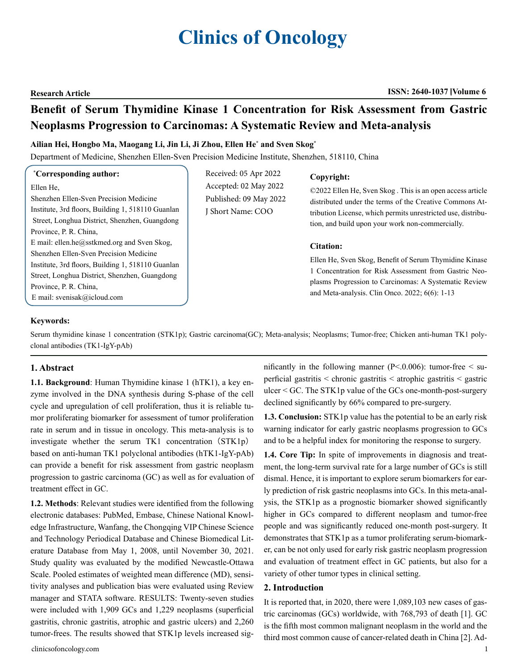# **Clinics of Oncology**

#### **Research Article ISSN: 2640-1037 Volume 6**

## **Benefit of Serum Thymidine Kinase 1 Concentration for Risk Assessment from Gastric Neoplasms Progression to Carcinomas: A Systematic Review and Meta-analysis**

#### **Ailian Hei, Hongbo Ma, Maogang Li, Jin Li, Ji Zhou, Ellen He\* and Sven Skog\***

Department of Medicine, Shenzhen Ellen-Sven Precision Medicine Institute, Shenzhen, 518110, China

#### **\* Corresponding author:**

Ellen He, Shenzhen Ellen-Sven Precision Medicine Institute, 3rd floors, Building 1, 518110 Guanlan Street, Longhua District, Shenzhen, Guangdong Province, P. R. China, E mail: ellen.he@sstkmed.org and Sven Skog, Shenzhen Ellen-Sven Precision Medicine Institute, 3rd floors, Building 1, 518110 Guanlan Street, Longhua District, Shenzhen, Guangdong Province, P. R. China, E mail: svenisak@icloud.com

Received: 05 Apr 2022 Accepted: 02 May 2022 Published: 09 May 2022 J Short Name: COO

#### **Copyright:**

©2022 Ellen He, Sven Skog . This is an open access article distributed under the terms of the Creative Commons Attribution License, which permits unrestricted use, distribution, and build upon your work non-commercially.

#### **Citation:**

Ellen He, Sven Skog, Benefit of Serum Thymidine Kinase 1 Concentration for Risk Assessment from Gastric Neoplasms Progression to Carcinomas: A Systematic Review and Meta-analysis. Clin Onco. 2022; 6(6): 1-13

#### **Keywords:**

Serum thymidine kinase 1 concentration (STK1p); Gastric carcinoma(GC); Meta-analysis; Neoplasms; Tumor-free; Chicken anti-human TK1 polyclonal antibodies (TK1-IgY-pAb)

#### **1. Abstract**

**1.1. Background**: Human Thymidine kinase 1 (hTK1), a key enzyme involved in the DNA synthesis during S-phase of the cell cycle and upregulation of cell proliferation, thus it is reliable tumor proliferating biomarker for assessment of tumor proliferation rate in serum and in tissue in oncology. This meta-analysis is to investigate whether the serum  $TK1$  concentration  $(STK1p)$ based on anti-human TK1 polyclonal antibodies (hTK1-IgY-pAb) can provide a benefit for risk assessment from gastric neoplasm progression to gastric carcinoma (GC) as well as for evaluation of treatment effect in GC.

**1.2. Methods**: Relevant studies were identified from the following electronic databases: PubMed, Embase, Chinese National Knowledge Infrastructure, Wanfang, the Chongqing VIP Chinese Science and Technology Periodical Database and Chinese Biomedical Literature Database from May 1, 2008, until November 30, 2021. Study quality was evaluated by the modified Newcastle-Ottawa Scale. Pooled estimates of weighted mean difference (MD), sensitivity analyses and publication bias were evaluated using Review manager and STATA software. RESULTS: Twenty-seven studies were included with 1,909 GCs and 1,229 neoplasms (superficial gastritis, chronic gastritis, atrophic and gastric ulcers) and 2,260 tumor-frees. The results showed that STK1p levels increased sig-

clinicsofoncology.com 1

nificantly in the following manner ( $P < 0.006$ ): tumor-free  $\le$  superficial gastritis < chronic gastritis < atrophic gastritis < gastric ulcer < GC. The STK1p value of the GCs one-month-post-surgery declined significantly by 66% compared to pre-surgery.

**1.3. Conclusion:** STK1p value has the potential to be an early risk warning indicator for early gastric neoplasms progression to GCs and to be a helpful index for monitoring the response to surgery.

**1.4. Core Tip:** In spite of improvements in diagnosis and treatment, the long-term survival rate for a large number of GCs is still dismal. Hence, it is important to explore serum biomarkers for early prediction of risk gastric neoplasms into GCs. In this meta-analysis, the STK1p as a prognostic biomarker showed significantly higher in GCs compared to different neoplasm and tumor-free people and was significantly reduced one-month post-surgery. It demonstrates that STK1p as a tumor proliferating serum-biomarker, can be not only used for early risk gastric neoplasm progression and evaluation of treatment effect in GC patients, but also for a variety of other tumor types in clinical setting.

#### **2. Introduction**

It is reported that, in 2020, there were 1,089,103 new cases of gastric carcinomas (GCs) worldwide, with 768,793 of death [1]. GC is the fifth most common malignant neoplasm in the world and the third most common cause of cancer-related death in China [2]. Ad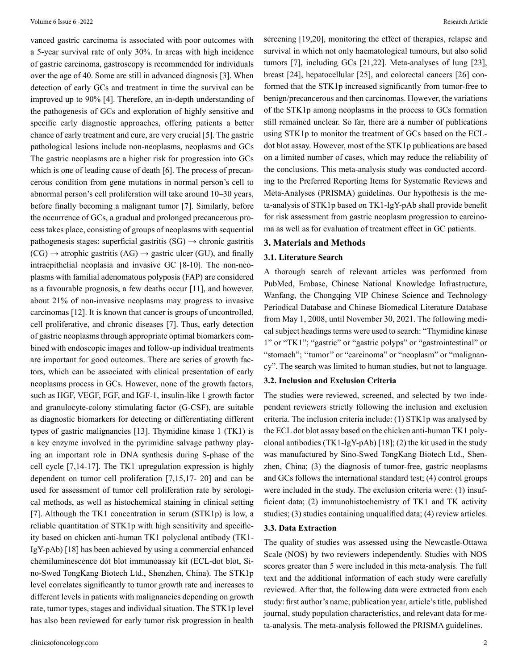vanced gastric carcinoma is associated with poor outcomes with a 5-year survival rate of only 30%. In areas with high incidence of gastric carcinoma, gastroscopy is recommended for individuals over the age of 40. Some are still in advanced diagnosis [3]. When detection of early GCs and treatment in time the survival can be improved up to 90% [4]. Therefore, an in-depth understanding of the pathogenesis of GCs and exploration of highly sensitive and specific early diagnostic approaches, offering patients a better chance of early treatment and cure, are very crucial [5]. The gastric pathological lesions include non-neoplasms, neoplasms and GCs The gastric neoplasms are a higher risk for progression into GCs which is one of leading cause of death [6]. The process of precancerous condition from gene mutations in normal person's cell to abnormal person's cell proliferation will take around 10–30 years, before finally becoming a malignant tumor [7]. Similarly, before the occurrence of GCs, a gradual and prolonged precancerous process takes place, consisting of groups of neoplasms with sequential pathogenesis stages: superficial gastritis  $(SG) \rightarrow$  chronic gastritis  $(CG) \rightarrow$  atrophic gastritis  $(AG) \rightarrow$  gastric ulcer (GU), and finally intraepithelial neoplasia and invasive GC [8-10]. The non-neoplasms with familial adenomatous polyposis (FAP) are considered as a favourable prognosis, a few deaths occur [11], and however, about 21% of non-invasive neoplasms may progress to invasive carcinomas [12]. It is known that cancer is groups of uncontrolled, cell proliferative, and chronic diseases [7]. Thus, early detection of gastric neoplasms through appropriate optimal biomarkers combined with endoscopic images and follow-up individual treatments are important for good outcomes. There are series of growth factors, which can be associated with clinical presentation of early neoplasms process in GCs. However, none of the growth factors, such as HGF, VEGF, FGF, and IGF-1, insulin-like 1 growth factor and granulocyte-colony stimulating factor (G-CSF), are suitable as diagnostic biomarkers for detecting or differentiating different types of gastric malignancies [13]. Thymidine kinase 1 (TK1) is a key enzyme involved in the pyrimidine salvage pathway playing an important role in DNA synthesis during S-phase of the cell cycle [7,14-17]. The TK1 upregulation expression is highly dependent on tumor cell proliferation [7,15,17- 20] and can be used for assessment of tumor cell proliferation rate by serological methods, as well as histochemical staining in clinical setting [7]. Although the TK1 concentration in serum (STK1p) is low, a reliable quantitation of STK1p with high sensitivity and specificity based on chicken anti-human TK1 polyclonal antibody (TK1- IgY-pAb) [18] has been achieved by using a commercial enhanced chemiluminescence dot blot immunoassay kit (ECL-dot blot, Sino-Swed TongKang Biotech Ltd., Shenzhen, China). The STK1p level correlates significantly to tumor growth rate and increases to different levels in patients with malignancies depending on growth rate, tumor types, stages and individual situation. The STK1p level has also been reviewed for early tumor risk progression in health

screening [19,20], monitoring the effect of therapies, relapse and survival in which not only haematological tumours, but also solid tumors [7], including GCs [21,22]. Meta-analyses of lung [23], breast [24], hepatocellular [25], and colorectal cancers [26] conformed that the STK1p increased significantly from tumor-free to benign/precancerous and then carcinomas. However, the variations of the STK1p among neoplasms in the process to GCs formation still remained unclear. So far, there are a number of publications using STK1p to monitor the treatment of GCs based on the ECLdot blot assay. However, most of the STK1p publications are based on a limited number of cases, which may reduce the reliability of the conclusions. This meta-analysis study was conducted according to the Preferred Reporting Items for Systematic Reviews and Meta-Analyses (PRISMA) guidelines. Our hypothesis is the meta-analysis of STK1p based on TK1-IgY-pAb shall provide benefit for risk assessment from gastric neoplasm progression to carcinoma as well as for evaluation of treatment effect in GC patients.

#### **3. Materials and Methods**

#### **3.1. Literature Search**

A thorough search of relevant articles was performed from PubMed, Embase, Chinese National Knowledge Infrastructure, Wanfang, the Chongqing VIP Chinese Science and Technology Periodical Database and Chinese Biomedical Literature Database from May 1, 2008, until November 30, 2021. The following medical subject headings terms were used to search: "Thymidine kinase 1" or "TK1"; "gastric" or "gastric polyps" or "gastrointestinal" or "stomach"; "tumor" or "carcinoma" or "neoplasm" or "malignancy". The search was limited to human studies, but not to language.

#### **3.2. Inclusion and Exclusion Criteria**

The studies were reviewed, screened, and selected by two independent reviewers strictly following the inclusion and exclusion criteria. The inclusion criteria include: (1) STK1p was analysed by the ECL dot blot assay based on the chicken anti-human TK1 polyclonal antibodies (TK1-IgY-pAb) [18]; (2) the kit used in the study was manufactured by Sino-Swed TongKang Biotech Ltd., Shenzhen, China; (3) the diagnosis of tumor-free, gastric neoplasms and GCs follows the international standard test; (4) control groups were included in the study. The exclusion criteria were: (1) insufficient data; (2) immunohistochemistry of TK1 and TK activity studies; (3) studies containing unqualified data; (4) review articles.

#### **3.3. Data Extraction**

The quality of studies was assessed using the Newcastle-Ottawa Scale (NOS) by two reviewers independently. Studies with NOS scores greater than 5 were included in this meta-analysis. The full text and the additional information of each study were carefully reviewed. After that, the following data were extracted from each study: first author's name, publication year, article's title, published journal, study population characteristics, and relevant data for meta-analysis. The meta-analysis followed the PRISMA guidelines.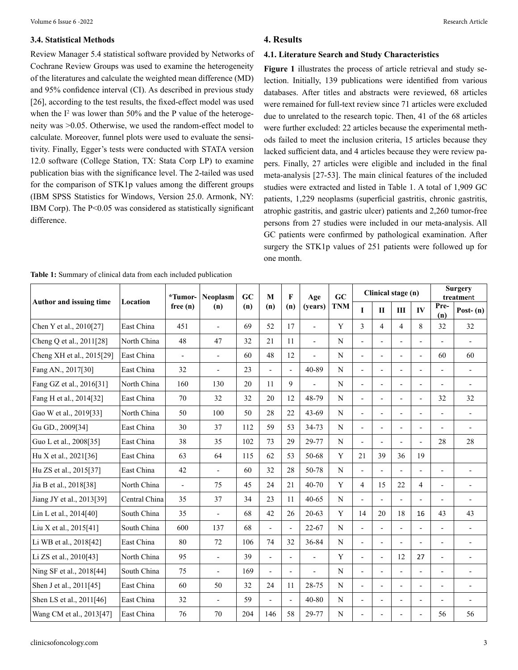#### **3.4. Statistical Methods**

Review Manager 5.4 statistical software provided by Networks of Cochrane Review Groups was used to examine the heterogeneity of the literatures and calculate the weighted mean difference (MD) and 95% confidence interval (CI). As described in previous study [26], according to the test results, the fixed-effect model was used when the  $I^2$  was lower than 50% and the P value of the heterogeneity was >0.05. Otherwise, we used the random-effect model to calculate. Moreover, funnel plots were used to evaluate the sensitivity. Finally, Egger's tests were conducted with STATA version 12.0 software (College Station, TX: Stata Corp LP) to examine publication bias with the significance level. The 2-tailed was used for the comparison of STK1p values among the different groups (IBM SPSS Statistics for Windows, Version 25.0. Armonk, NY: IBM Corp). The P<0.05 was considered as statistically significant difference.

| Table 1: Summary of clinical data from each included publication |  |  |
|------------------------------------------------------------------|--|--|
|------------------------------------------------------------------|--|--|

### **4. Results**

#### **4.1. Literature Search and Study Characteristics**

**Figure 1** illustrates the process of article retrieval and study selection. Initially, 139 publications were identified from various databases. After titles and abstracts were reviewed, 68 articles were remained for full-text review since 71 articles were excluded due to unrelated to the research topic. Then, 41 of the 68 articles were further excluded: 22 articles because the experimental methods failed to meet the inclusion criteria, 15 articles because they lacked sufficient data, and 4 articles because they were review papers. Finally, 27 articles were eligible and included in the final meta-analysis [27-53]. The main clinical features of the included studies were extracted and listed in Table 1. A total of 1,909 GC patients, 1,229 neoplasms (superficial gastritis, chronic gastritis, atrophic gastritis, and gastric ulcer) patients and 2,260 tumor-free persons from 27 studies were included in our meta-analysis. All GC patients were confirmed by pathological examination. After surgery the STK1p values of 251 patients were followed up for one month.

| Author and issuing time   | Location      | *Tumor-        | <b>Neoplasm</b><br>(n)   | GC  | M                        | $\mathbf{F}$   | Age                      | GC          |                          | Clinical stage (n)       |                          |                          | <b>Surgery</b><br>treatment |                          |
|---------------------------|---------------|----------------|--------------------------|-----|--------------------------|----------------|--------------------------|-------------|--------------------------|--------------------------|--------------------------|--------------------------|-----------------------------|--------------------------|
|                           |               | free(n)        |                          | (n) | (n)                      | (n)            | (years)                  | <b>TNM</b>  | $\mathbf I$              | $\mathbf{H}$             | III                      | IV                       | Pre-<br>(n)                 | Post- $(n)$              |
| Chen Y et al., 2010[27]   | East China    | 451            | $\overline{\phantom{a}}$ | 69  | 52                       | 17             | $\overline{\phantom{a}}$ | Y           | 3                        | $\overline{4}$           | $\overline{4}$           | 8                        | 32                          | 32                       |
| Cheng Q et al., 2011[28]  | North China   | 48             | 47                       | 32  | 21                       | 11             | $\blacksquare$           | $\mathbf N$ | $\overline{a}$           | $\overline{a}$           | $\overline{a}$           |                          | $\overline{a}$              |                          |
| Cheng XH et al., 2015[29] | East China    | $\overline{a}$ | $\blacksquare$           | 60  | 48                       | 12             | $\overline{a}$           | $\mathbf N$ | $\overline{a}$           |                          |                          | $\overline{\phantom{0}}$ | 60                          | 60                       |
| Fang AN., 2017[30]        | East China    | 32             | $\overline{\phantom{a}}$ | 23  | $\overline{a}$           | $\overline{a}$ | 40-89                    | $\mathbf N$ | L,                       |                          | $\overline{\phantom{a}}$ |                          | $\overline{a}$              | $\overline{\phantom{a}}$ |
| Fang GZ et al., 2016[31]  | North China   | 160            | 130                      | 20  | 11                       | 9              | $\overline{a}$           | $\mathbf N$ | $\overline{a}$           |                          |                          |                          | $\overline{a}$              |                          |
| Fang H et al., 2014[32]   | East China    | 70             | 32                       | 32  | 20                       | 12             | 48-79                    | N           | $\overline{\phantom{a}}$ | $\overline{a}$           | $\overline{\phantom{a}}$ | $\overline{a}$           | 32                          | 32                       |
| Gao W et al., 2019[33]    | North China   | 50             | 100                      | 50  | 28                       | 22             | 43-69                    | N           | $\overline{\phantom{a}}$ | ÷,                       | $\overline{\phantom{a}}$ | $\overline{\phantom{0}}$ | $\overline{a}$              | $\overline{\phantom{a}}$ |
| Gu GD., 2009[34]          | East China    | 30             | 37                       | 112 | 59                       | 53             | 34-73                    | N           | $\overline{a}$           | $\blacksquare$           | $\overline{a}$           |                          | $\overline{\phantom{0}}$    | $\blacksquare$           |
| Guo L et al., 2008[35]    | East China    | 38             | 35                       | 102 | 73                       | 29             | 29-77                    | $\mathbf N$ | $\overline{a}$           |                          |                          | $\overline{\phantom{0}}$ | 28                          | 28                       |
| Hu X et al., 2021[36]     | East China    | 63             | 64                       | 115 | 62                       | 53             | 50-68                    | Y           | 21                       | 39                       | 36                       | 19                       |                             |                          |
| Hu ZS et al., 2015[37]    | East China    | 42             | $\blacksquare$           | 60  | 32                       | 28             | 50-78                    | $\mathbf N$ | $\overline{a}$           |                          |                          |                          | $\overline{a}$              | $\blacksquare$           |
| Jia B et al., 2018[38]    | North China   | $\blacksquare$ | 75                       | 45  | 24                       | 21             | $40 - 70$                | Y           | $\overline{4}$           | 15                       | 22                       | $\overline{4}$           | $\overline{\phantom{0}}$    | $\overline{\phantom{a}}$ |
| Jiang JY et al., 2013[39] | Central China | 35             | 37                       | 34  | 23                       | 11             | $40 - 65$                | N           | $\frac{1}{2}$            | $\overline{a}$           | ÷,                       | ÷,                       | $\overline{a}$              | $\overline{\phantom{a}}$ |
| Lin L et al., 2014[40]    | South China   | 35             | $\blacksquare$           | 68  | 42                       | 26             | $20 - 63$                | Y           | 14                       | 20                       | 18                       | 16                       | 43                          | 43                       |
| Liu X et al., 2015[41]    | South China   | 600            | 137                      | 68  | $\overline{a}$           | $\overline{a}$ | $22 - 67$                | N           | $\overline{a}$           |                          | $\overline{a}$           | $\overline{\phantom{0}}$ | $\overline{a}$              |                          |
| Li WB et al., 2018[42]    | East China    | 80             | 72                       | 106 | 74                       | 32             | 36-84                    | N           | L,                       |                          |                          |                          | $\overline{a}$              | $\blacksquare$           |
| Li ZS et al., 2010[43]    | North China   | 95             | $\blacksquare$           | 39  | $\overline{a}$           |                | $\overline{\phantom{a}}$ | Y           | L,                       |                          | 12                       | 27                       | $\overline{a}$              |                          |
| Ning SF et al., 2018[44]  | South China   | 75             | $\overline{\phantom{a}}$ | 169 | $\overline{\phantom{a}}$ | ÷,             | Ĭ.                       | N           | L,                       | $\overline{\phantom{0}}$ | $\overline{\phantom{a}}$ | $\overline{\phantom{0}}$ | Ĭ.                          | $\overline{\phantom{a}}$ |
| Shen J et al., 2011[45]   | East China    | 60             | 50                       | 32  | 24                       | 11             | 28-75                    | N           | $\frac{1}{2}$            | ÷,                       | $\overline{\phantom{a}}$ | $\overline{\phantom{0}}$ | $\overline{a}$              | $\overline{\phantom{a}}$ |
| Shen LS et al., 2011[46]  | East China    | 32             | ÷,                       | 59  | $\overline{a}$           | $\overline{a}$ | $40 - 80$                | N           | $\overline{a}$           | $\blacksquare$           | $\overline{a}$           | $\overline{a}$           | $\overline{a}$              | $\overline{\phantom{a}}$ |
| Wang CM et al., 2013[47]  | East China    | 76             | 70                       | 204 | 146                      | 58             | 29-77                    | $\mathbf N$ | $\overline{a}$           |                          |                          | $\overline{a}$           | 56                          | 56                       |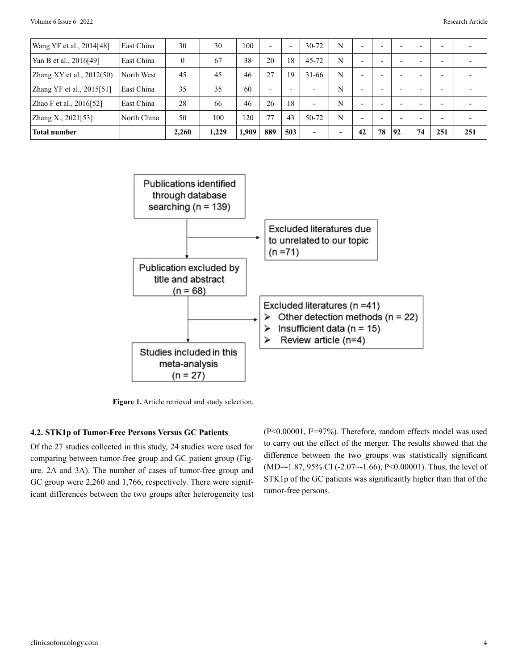| Wang YF et al., 2014[48]    | East China  | 30       | 30    | 100   | $\overline{\phantom{0}}$ | $\overline{\phantom{a}}$ | $30 - 72$                | N                        | $\overline{\phantom{0}}$ | $\overline{\phantom{0}}$ | $\overline{\phantom{a}}$ | -                        | -   |     |
|-----------------------------|-------------|----------|-------|-------|--------------------------|--------------------------|--------------------------|--------------------------|--------------------------|--------------------------|--------------------------|--------------------------|-----|-----|
| Yan B et al., 2016[49]      | East China  | $\theta$ | 67    | 38    | 20                       | 18                       | 45-72                    | N                        | -                        | $\overline{\phantom{0}}$ | $\overline{\phantom{a}}$ |                          | -   |     |
| Zhang XY et al., $2012(50)$ | North West  | 45       | 45    | 46    | 27                       | 19                       | $31 - 66$                | N                        | -                        | $\overline{\phantom{0}}$ | -                        |                          | -   |     |
| Zhang YF et al., 2015[51]   | East China  | 35       | 35    | 60    | $\overline{\phantom{0}}$ | $\overline{\phantom{0}}$ | $\overline{\phantom{0}}$ | N                        | $\overline{\phantom{0}}$ | $\overline{\phantom{0}}$ | $\overline{\phantom{a}}$ | $\overline{\phantom{0}}$ | -   |     |
| Zhao F et al., 2016[52]     | East China  | 28       | 66    | 46    | 26                       | 18                       | $\overline{\phantom{0}}$ | N                        | $\overline{\phantom{0}}$ | $\overline{\phantom{a}}$ | $\overline{\phantom{a}}$ | $\overline{\phantom{0}}$ | -   |     |
| Zhang X., 2021[53]          | North China | 50       | 100   | 120   | 77                       | 43                       | $50 - 72$                | N                        | -                        | $\overline{\phantom{0}}$ | $\overline{\phantom{a}}$ |                          | -   |     |
| <b>Total number</b>         |             | 2.260    | 1.229 | 1,909 | 889                      | 503                      | $\overline{\phantom{a}}$ | $\overline{\phantom{0}}$ | 42                       | 78                       | 92                       | 74                       | 251 | 251 |



**Figure 1.** Article retrieval and study selection.

#### **4.2. STK1p of Tumor-Free Persons Versus GC Patients**

Of the 27 studies collected in this study, 24 studies were used for comparing between tumor-free group and GC patient group (Figure. 2A and 3A). The number of cases of tumor-free group and GC group were 2,260 and 1,766, respectively. There were significant differences between the two groups after heterogeneity test

(P<0.00001, I²=97%). Therefore, random effects model was used to carry out the effect of the merger. The results showed that the difference between the two groups was statistically significant (MD=-1.87, 95% CI (-2.07~-1.66), P<0.00001). Thus, the level of STK1p of the GC patients was significantly higher than that of the tumor-free persons.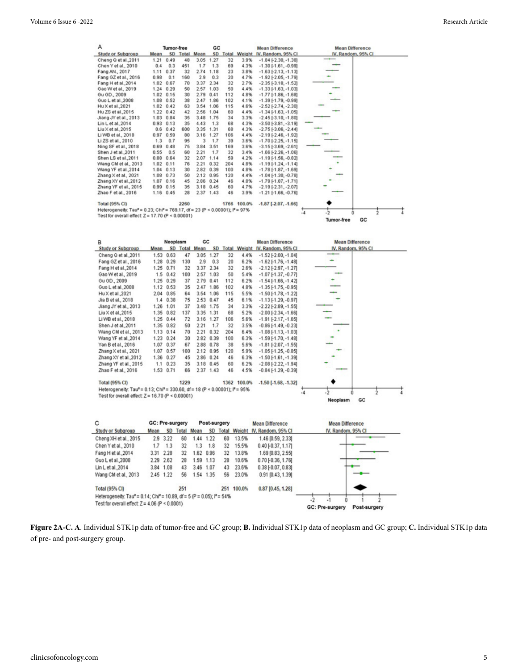| Α                                                                                                    |      | Tumor-free |      |               | GC          |     |                 | <b>Mean Difference</b>        | <b>Mean Difference</b> |
|------------------------------------------------------------------------------------------------------|------|------------|------|---------------|-------------|-----|-----------------|-------------------------------|------------------------|
| <b>Study or Subgroup</b>                                                                             | Mean |            |      | SD Total Mean |             |     | SD Total Weight | IV, Random, 95% CI            | IV, Random, 95% CI     |
| Cheng Q et al., 2011                                                                                 | 1.21 | 0.49       | 48   |               | 3.05 1.27   | 32  | 3.9%            | $-1.84$ $[-2.30, -1.38]$      |                        |
| Chen Y et al., 2010                                                                                  | 0.4  | 0.3        | 451  | 1.7           | 1.3         | 69  | 4.3%            | $-1.30$ $[-1.61, -0.99]$      |                        |
| Fang AN., 2017                                                                                       | 1.11 | 0.37       | 32   | 2.74          | 1.18        | 23  | 3.8%            | $-1.63$ [ $-2.13$ , $-1.13$ ] |                        |
| Fang GZ et al., 2016                                                                                 | 0.98 | 0.1        | 160  | 2.9           | 0.3         | 20  | 4.7%            | $-1.92$ [ $-2.05, -1.79$ ]    |                        |
| Fang H et al., 2014                                                                                  | 1.02 | 0.67       | 70   | 3.37          | 2.34        | 32  | 2.7%            | $-2.35$ [ $-3.18$ , $-1.52$ ] |                        |
| Gao W et al., 2019                                                                                   | 1.24 | 0.29       | 50   |               | 2.57 1.03   | 50  | 4.4%            | $-1.33$ [ $-1.63$ , $-1.03$ ] |                        |
| Gu GD., 2009                                                                                         | 1.02 | 0.15       | 30   | 2.79 0.41     |             | 112 | 4.8%            | $-1.77$ [ $-1.86$ , $-1.68$ ] |                        |
| Guo L et al., 2008                                                                                   | 1.08 | 0.52       | 38   |               | 2.47 1.86   | 102 | 4.1%            | $-1.39$ [ $-1.79$ , $-0.99$ ] |                        |
| Hu X et al., 2021                                                                                    | 1.02 | 0.42       | 63   | 3.54          | 1.06        | 115 | 4.6%            | $-2.52[-2.74, -2.30]$         |                        |
| Hu ZS et al., 2015                                                                                   | 1.22 | 0.42       | 42   |               | 2.56 1.04   | 60  | 4.4%            | $-1.34$ [ $-1.63$ , $-1.05$ ] |                        |
| Jiang JY et al., 2013                                                                                | 1.03 | 0.84       | 35   |               | 3.48 1.75   | 34  | 3.3%            | $-2.45$ [ $-3.10$ , $-1.80$ ] |                        |
| Lin L et al., 2014                                                                                   | 0.93 | 0.13       | 35   | 4.43          | 1,3         | 68  | 4.3%            | $-3.50[-3.81, -3.19]$         |                        |
| Liu X et al., 2015                                                                                   | 0.6  | 0.42       | 600  | 3.35          | 1.31        | 68  | 4.3%            | $-2.75[-3.06, -2.44]$         |                        |
| Li WB et al., 2018                                                                                   | 0.97 | 0.59       | 80   | 3.16          | 1.27        | 106 | 4.4%            | $-2.19[-2.46, -1.92]$         |                        |
| Li ZS et al., 2010                                                                                   | 1.3  | 0.7        | 95   | 3             | 1.7         | 39  | 3.6%            | $-1.70$ [ $-2.25$ , $-1.15$ ] |                        |
| Ning SF et al., 2018                                                                                 | 0.69 | 0.48       | 75   | 3.84          | 3.51        | 169 | 3.6%            | $-3.15[-3.69, -2.61]$         |                        |
| Shen J et al., 2011                                                                                  | 0.55 | 0.5        | 60   | 2.21          | 1.7         | 32  | 3.4%            | $-1.66$ [ $-2.26$ , $-1.06$ ] |                        |
| Shen LS et al., 2011                                                                                 | 0.88 | 0.64       | 32   | 2.07          | 1.14        | 59  | 4.2%            | $-1.19[-1.56, -0.82]$         |                        |
| Wang CM et al., 2013                                                                                 | 1.02 | 0.11       | 76   | 2.21          | 0.32        | 204 | 4.8%            | $-1.19[-1.24, -1.14]$         |                        |
| Wang YF et al., 2014                                                                                 | 1.04 | 0.13       | 30   | 2.82          | 0.39        | 100 | 4.8%            | $-1.78$ [ $-1.87$ , $-1.69$ ] |                        |
| Zhang X et al., 2021                                                                                 | 1.08 | 0.73       | 50   | 2.12          | 0.95        | 120 | 4.4%            | $-1.04$ [ $-1.30$ , $-0.78$ ] |                        |
| Zhang XY et al., 2012                                                                                | 1.07 | 0.16       | 45   | 2.86          | 0.24        | 46  | 4.8%            | $-1.79[-1.87, -1.71]$         |                        |
| Zhang YF et al., 2015                                                                                | 0.99 | 0.15       | 35   |               | 3.18 0.45   | 60  | 4.7%            | $-2.19[-2.31, -2.07]$         |                        |
| Zhao F et al., 2016                                                                                  | 1.16 | 0.45       | 28   |               | $2.37$ 1.43 | 46  | 3.9%            | $-1.21$ [ $-1.66$ , $-0.76$ ] |                        |
| <b>Total (95% CI)</b>                                                                                |      |            | 2260 |               |             |     | 1766 100.0%     | $-1.87$ [ $-2.07, -1.66$ ]    |                        |
| Heterogeneity: Tau <sup>2</sup> = 0.23; Chi <sup>2</sup> = 769.17, df = 23 (P < 0.00001); $P = 97\%$ |      |            |      |               |             |     |                 |                               |                        |
| Test for overall effect: $Z = 17.70$ (P < 0.00001)                                                   |      |            |      |               |             |     |                 |                               | $\rightarrow$<br>$-4$  |
|                                                                                                      |      |            |      |               |             |     |                 |                               | GC<br>Tumor-free       |

| в                                                                                                              |      | Neoplasm  |      | GC            |             |     | <b>Mean Difference</b> |                                 | <b>Mean Difference</b> |  |
|----------------------------------------------------------------------------------------------------------------|------|-----------|------|---------------|-------------|-----|------------------------|---------------------------------|------------------------|--|
| Study or Subgroup                                                                                              | Mean |           |      | SD Total Mean | <b>SD</b>   |     |                        | Total Weight IV, Random, 95% CI | IV, Random, 95% CI     |  |
| Cheng Q et al., 2011                                                                                           | 1.53 | 0.63      | 47   |               | 3.05 1.27   | 32  | 4.4%                   | $-1.52$ [ $-2.00$ , $-1.04$ ]   | ---                    |  |
| Fang GZ et al., 2016                                                                                           | 1.28 | 0.29      | 130  | 2.9           | 0.3         | 20  | 6.2%                   | $-1.62$ [ $-1.76$ , $-1.48$ ]   |                        |  |
| Fang H et al., 2014                                                                                            | 1.25 | 0.71      | 32   | 3.37          | 2.34        | 32  | 2.6%                   | $-2.12$ [ $-2.97$ , $-1.27$ ]   |                        |  |
| Gao W et al., 2019                                                                                             | 1.5  | 0.42      | 100  |               | 2.57 1.03   | 50  | 5.4%                   | $-1.07$ [ $-1.37$ , $-0.77$ ]   |                        |  |
| Gu GD., 2009                                                                                                   | 1.25 | 0.29      | 37   |               | 2.79 0.41   | 112 | 6.2%                   | $-1.54$ [ $-1.66$ , $-1.42$ ]   |                        |  |
| Guo L et al., 2008                                                                                             | 1.12 | 0.53      | 35   |               | 2.47 1.86   | 102 | 4.8%                   | $-1.35$ [ $-1.75$ , $-0.95$ ]   |                        |  |
| Hu X et al., 2021                                                                                              |      | 2.04 0.85 | 64   |               | 3.54 1.06   | 115 | 5.5%                   | $-1.50$ [ $-1.78$ , $-1.22$ ]   |                        |  |
| Jia B et al., 2018                                                                                             | 1.4  | 0.38      | 75   |               | 2.53 0.47   | 45  | 6.1%                   | $-1.13[-1.29, -0.97]$           |                        |  |
| Jiang JY et al., 2013                                                                                          | 1.26 | 1.01      | 37   |               | 3.48 1.75   | 34  | 3.3%                   | $-2.22$ [ $-2.89, -1.55$ ]      |                        |  |
| Liu X et al., 2015                                                                                             | 1.35 | 0.82      | 137  |               | 3.35 1.31   | 68  | 5.2%                   | $-2.00[-2.34, -1.66]$           |                        |  |
| Li WB et al., 2018                                                                                             | 1.25 | 0.44      | 72   |               | 3.16 1.27   | 106 | 5.6%                   | $-1.91$ [ $-2.17$ , $-1.65$ ]   |                        |  |
| Shen J et al., 2011                                                                                            | 1.35 | 0.82      | 50   | 2.21          | 1.7         | 32  | 3.5%                   | $-0.86$ [ $-1.49$ , $-0.23$ ]   |                        |  |
| Wang CM et al., 2013                                                                                           | 1.13 | 0.14      | 70   | 2.21          | 0.32        | 204 | 6.4%                   | $-1.08$ [ $-1.13$ , $-1.03$ ]   |                        |  |
| Wang YF et al., 2014                                                                                           | 1.23 | 0.24      | 30   |               | 2.82 0.39   | 100 | 6.3%                   | $-1.59$ [ $-1.70$ , $-1.48$ ]   |                        |  |
| Yan B et al., 2016                                                                                             | 1.07 | 0.37      | 67   |               | 2.88 0.78   | 38  | 5.6%                   | $-1.81$ [ $-2.07$ , $-1.55$ ]   |                        |  |
| Zhang X et al., 2021                                                                                           | 1.07 | 0.57      | 100  |               | 2.12 0.95   | 120 | 5.9%                   | $-1.05$ [ $-1.25$ , $-0.85$ ]   |                        |  |
| Zhang XY et al., 2012                                                                                          | 1.36 | 0.27      | 45   |               | 2.86 0.24   | 46  | 6.3%                   | $-1.50[-1.61, -1.39]$           |                        |  |
| Zhang YF et al., 2015                                                                                          | 1.1  | 0.23      | 35   |               | 3.18 0.45   | 60  | 6.2%                   | $-2.08[-2.22, -1.94]$           |                        |  |
| Zhao F et al., 2016                                                                                            | 1.53 | 0.71      | 66   |               | $2.37$ 1.43 | 46  | 4.5%                   | $-0.84$ [ $-1.29$ , $-0.39$ ]   |                        |  |
| <b>Total (95% CI)</b>                                                                                          |      |           | 1229 |               |             |     | 1362 100.0%            | $-1.50$ [ $-1.68$ , $-1.32$ ]   |                        |  |
| Heterogeneity: Tau <sup>2</sup> = 0.13; Chi <sup>2</sup> = 330.60, df = 18 (P < 0.00001); I <sup>2</sup> = 95% |      |           |      |               |             |     |                        |                                 |                        |  |
| Test for overall effect: $Z = 16.70$ (P < 0.00001)                                                             |      |           |      |               |             |     |                        | $-4$                            |                        |  |
|                                                                                                                |      |           |      |               |             |     |                        |                                 | GC<br>Neoplasm         |  |

| с                                                                                            | <b>GC: Pre-surgery</b>                                                                 |           |     |                    | Post-surgery |     | <b>Mean Difference</b> | <b>Mean Difference</b>   |                                        |
|----------------------------------------------------------------------------------------------|----------------------------------------------------------------------------------------|-----------|-----|--------------------|--------------|-----|------------------------|--------------------------|----------------------------------------|
| <b>Study or Subgroup</b>                                                                     | <b>Total Mean</b><br>Total Weight IV, Random, 95% CI<br>Mean<br><b>SD</b><br><b>SD</b> |           |     | IV, Random, 95% CI |              |     |                        |                          |                                        |
| Cheng XH et al., 2015                                                                        |                                                                                        | 2.9 3.22  | 60  | 1.44               | 1.22         | 60  | 13.5%                  | 1.46 [0.59, 2.33]        |                                        |
| Chen Y et al., 2010                                                                          | 1.7                                                                                    | 1.3       | 32  | 1.3                | 1.8          | 32  | 15.5%                  | $0.40$ [ $-0.37$ , 1.17] |                                        |
| Fang H et al., 2014                                                                          |                                                                                        | 3.31 2.28 | 32  |                    | 1.62 0.96    | 32  | 13.8%                  | 1.69 [0.83, 2.55]        |                                        |
| Guo L et al., 2008                                                                           |                                                                                        | 2.29 2.62 | 28  |                    | 1.59 1.13    | 28  | 10.6%                  | $0.70$ [-0.36, 1.76]     |                                        |
| Lin L et al., 2014                                                                           |                                                                                        | 3.84 1.08 | 43  |                    | 3.46 1.07    | 43  | 23.6%                  | $0.38$ $[-0.07, 0.83]$   |                                        |
| Wang CM et al., 2013                                                                         |                                                                                        | 2.45 1.22 | 56  |                    | 1.54 1.35    | 56  | 23.0%                  | 0.91 [0.43, 1.39]        |                                        |
| <b>Total (95% CI)</b>                                                                        |                                                                                        |           | 251 |                    |              | 251 | 100.0%                 | $0.87$ [0.45, 1.28]      |                                        |
| Heterogeneity: Tau <sup>2</sup> = 0.14; Chi <sup>2</sup> = 10.89, df = 5 (P = 0.05); P = 54% |                                                                                        |           |     |                    |              |     |                        |                          |                                        |
| Test for overall effect: $Z = 4.06$ (P < 0.0001)                                             |                                                                                        |           |     |                    |              |     |                        |                          | <b>GC: Pre-surgery</b><br>Post-surgery |

**Figure 2A-C. A**. Individual STK1p data of tumor-free and GC group; **B.** Individual STK1p data of neoplasm and GC group; **C.** Individual STK1p data of pre- and post-surgery group.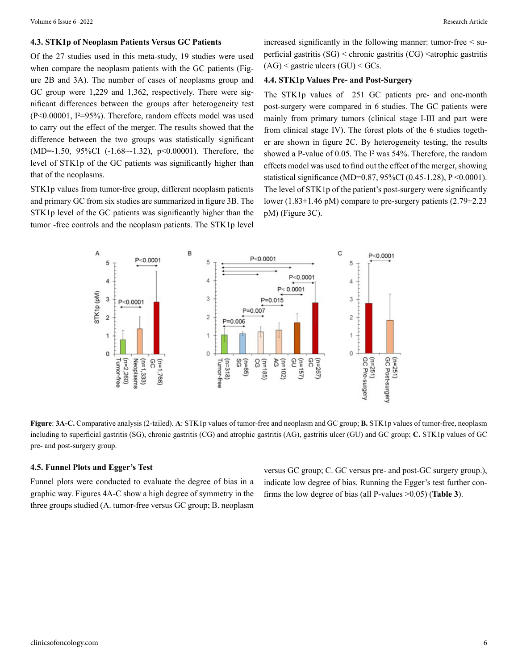#### **4.3. STK1p of Neoplasm Patients Versus GC Patients**

Of the 27 studies used in this meta-study, 19 studies were used when compare the neoplasm patients with the GC patients (Figure 2B and 3A). The number of cases of neoplasms group and GC group were 1,229 and 1,362, respectively. There were significant differences between the groups after heterogeneity test (P<0.00001, I²=95%). Therefore, random effects model was used to carry out the effect of the merger. The results showed that the difference between the two groups was statistically significant (MD=-1.50, 95%CI (-1.68~-1.32), p<0.00001). Therefore, the level of STK1p of the GC patients was significantly higher than that of the neoplasms.

STK1p values from tumor-free group, different neoplasm patients and primary GC from six studies are summarized in figure 3B. The STK1p level of the GC patients was significantly higher than the tumor -free controls and the neoplasm patients. The STK1p level

increased significantly in the following manner: tumor-free < superficial gastritis  $(SG)$  < chronic gastritis  $(CG)$  < atrophic gastritis  $(AG)$  < gastric ulcers  $(GU)$  < GCs.

#### **4.4. STK1p Values Pre- and Post-Surgery**

The STK1p values of 251 GC patients pre- and one-month post-surgery were compared in 6 studies. The GC patients were mainly from primary tumors (clinical stage I-III and part were from clinical stage IV). The forest plots of the 6 studies together are shown in figure 2C. By heterogeneity testing, the results showed a P-value of 0.05. The I<sup>2</sup> was 54%. Therefore, the random effects model was used to find out the effect of the merger, showing statistical significance (MD=0.87, 95%CI (0.45-1.28), P <0.0001). The level of STK1p of the patient's post-surgery were significantly lower (1.83 $\pm$ 1.46 pM) compare to pre-surgery patients (2.79 $\pm$ 2.23 pM) (Figure 3C).



**Figure**: **3A-C.** Comparative analysis (2-tailed). **A**: STK1p values of tumor-free and neoplasm and GC group; **B.** STK1p values of tumor-free, neoplasm including to superficial gastritis (SG), chronic gastritis (CG) and atrophic gastritis (AG), gastritis ulcer (GU) and GC group; **C.** STK1p values of GC pre- and post-surgery group.

#### **4.5. Funnel Plots and Egger's Test**

Funnel plots were conducted to evaluate the degree of bias in a graphic way. Figures 4A-C show a high degree of symmetry in the three groups studied (A. tumor-free versus GC group; B. neoplasm versus GC group; C. GC versus pre- and post-GC surgery group.), indicate low degree of bias. Running the Egger's test further confirms the low degree of bias (all P-values >0.05) (**Table 3**).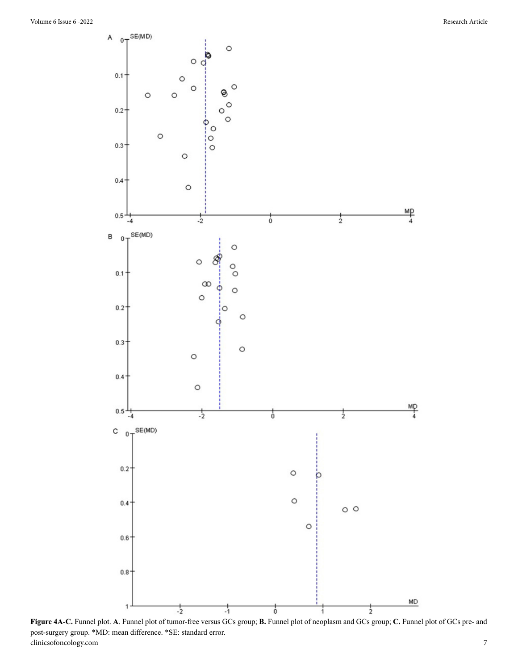

clinicsofoncology.com 7 **Figure 4A-C.** Funnel plot. **A**. Funnel plot of tumor-free versus GCs group; **B.** Funnel plot of neoplasm and GCs group; **C.** Funnel plot of GCs pre- and post-surgery group. \*MD: mean difference. \*SE: standard error.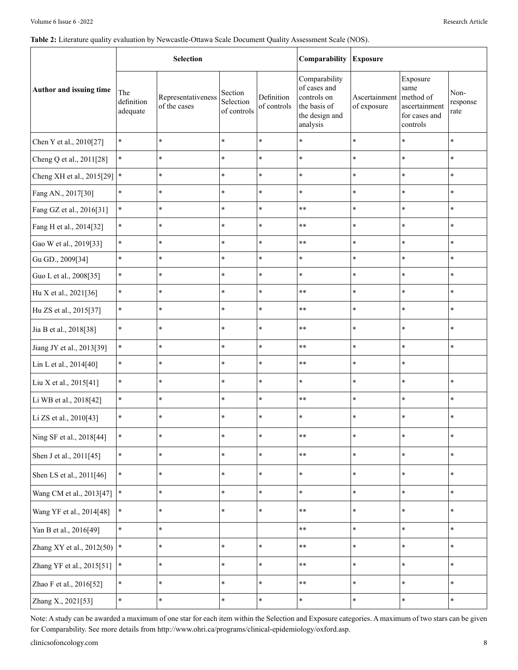#### Table 2: Literature quality evaluation by Newcastle-Ottawa Scale Document Quality Assessment Scale (NOS).

|                           |                               | <b>Selection</b>                   |                                     |                           | Comparability                                                                              | <b>Exposure</b>              |                                                                             |                          |  |
|---------------------------|-------------------------------|------------------------------------|-------------------------------------|---------------------------|--------------------------------------------------------------------------------------------|------------------------------|-----------------------------------------------------------------------------|--------------------------|--|
| Author and issuing time   | The<br>definition<br>adequate | Representativeness<br>of the cases | Section<br>Selection<br>of controls | Definition<br>of controls | Comparability<br>of cases and<br>controls on<br>the basis of<br>the design and<br>analysis | Ascertainment<br>of exposure | Exposure<br>same<br>method of<br>ascertainment<br>for cases and<br>controls | Non-<br>response<br>rate |  |
| Chen Y et al., 2010[27]   | $\ast$                        | $\ast$                             | $\ast$                              | $\ast$                    | $\ast$                                                                                     | $\ast$                       | $\ast$                                                                      | $\ast$                   |  |
| Cheng Q et al., 2011[28]  | $\ast$                        | $\ast$                             | $\ast$                              | $\ast$                    | $\ast$                                                                                     | $\ast$                       | $\ast$                                                                      | $\ast$                   |  |
| Cheng XH et al., 2015[29] | $\ast$                        | $\ast$                             | $\ast$                              | $\ast$                    | $\ast$                                                                                     | $\ast$                       | $\ast$                                                                      | $\ast$                   |  |
| Fang AN., 2017[30]        | $\ast$                        | $\ast$                             | $\ast$                              | $\ast$                    | $\ast$                                                                                     | $\ast$                       | $\ast$                                                                      | $\ast$                   |  |
| Fang GZ et al., 2016[31]  | $\ast$                        | $\ast$                             | $\ast$                              | $\ast$                    | $**$                                                                                       | $\ast$                       | $\star$                                                                     | $\ast$                   |  |
| Fang H et al., 2014[32]   | $\ast$                        | $\ast$                             | $\ast$                              | $\ast$                    | $**$                                                                                       | $\ast$                       | $\ast$                                                                      | $\ast$                   |  |
| Gao W et al., 2019[33]    | $\ast$                        | $\ast$                             | $\ast$                              | $\ast$                    | $**$                                                                                       | $\ast$                       | $\star$                                                                     | $\ast$                   |  |
| Gu GD., 2009[34]          | $\ast$                        | $\ast$                             | $\ast$                              | $\ast$                    | $\ast$                                                                                     | $\ast$                       | $\ast$                                                                      | $\ast$                   |  |
| Guo L et al., 2008[35]    | $\ast$                        | $\ast$                             | $\ast$                              | $\ast$                    | $\ast$                                                                                     | $\ast$                       | $\ast$                                                                      | $\ast$                   |  |
| Hu X et al., 2021[36]     | $\ast$                        | $\ast$                             | $\ast$                              | $\ast$                    | $**$                                                                                       | $\ast$                       | $\ast$                                                                      | $\ast$                   |  |
| Hu ZS et al., 2015[37]    | $\ast$                        | $\ast$                             | $\ast$                              | $\ast$                    | $**$                                                                                       | $\ast$                       | $\ast$                                                                      | $\ast$                   |  |
| Jia B et al., 2018[38]    | $\ast$                        | $\ast$                             | $\ast$                              | $\ast$                    | $**$                                                                                       | $\ast$                       | $\ast$                                                                      | $\ast$                   |  |
| Jiang JY et al., 2013[39] | $\ast$                        | $\ast$                             | $\ast$                              | $\ast$                    | $**$                                                                                       | $\ast$                       | $\star$                                                                     | $\ast$                   |  |
| Lin L et al., 2014[40]    | $\ast$                        | $\ast$                             | $\ast$                              | $\ast$                    | $**$                                                                                       | $\ast$                       | $\ast$                                                                      |                          |  |
| Liu X et al., 2015[41]    | $\ast$                        | $\ast$                             | $\ast$                              | $\ast$                    | $\ast$                                                                                     | $\ast$                       | $\ast$                                                                      | $\ast$                   |  |
| Li WB et al., 2018[42]    | $\ast$                        | $\ast$                             | $\ast$                              | $\ast$                    | $**$                                                                                       | $\ast$                       | $\star$                                                                     | $\ast$                   |  |
| Li ZS et al., 2010[43]    | $\ast$                        | $\ast$                             | $\ast$                              | $\ast$                    | $\ast$                                                                                     | $\ast$                       | $\ast$                                                                      | $\ast$                   |  |
| Ning SF et al., 2018[44]  | $\ast$                        | $\ast$                             | $\ast$                              | $\ast$                    | $**$                                                                                       | $\ast$                       | $\ast$                                                                      | $\ast$                   |  |
| Shen J et al., 2011[45]   | $\ast$                        | $\ast$                             | $\ast$                              | $\ast$                    | $\ast\ast$                                                                                 | $\ast$                       | $\ast$                                                                      | $\ast$                   |  |
| Shen LS et al., 2011[46]  | $\ast$                        | $\ast$                             | $\ast$                              | $\ast$                    | $\ast$                                                                                     | $\ast$                       | $\ast$                                                                      | $\ast$                   |  |
| Wang CM et al., 2013[47]  | $\ast$                        | $\ast$                             | $\ast$                              | $\ast$                    | $\ast$                                                                                     | $\ast$                       | $\star$                                                                     | $\ast$                   |  |
| Wang YF et al., 2014[48]  | $\ast$                        | $\ast$                             | $\ast$                              | $\ast$                    | $***$                                                                                      | $\ast$                       | $\ast$                                                                      | $\ast$                   |  |
| Yan B et al., 2016[49]    | $\ast$                        | $\ast$                             |                                     |                           | $***$                                                                                      | $\ast$                       | $\star$                                                                     | $\ast$                   |  |
| Zhang XY et al., 2012(50) | $\ast$                        | $\ast$                             | $\ast$                              | $\ast$                    | $\ast\ast$                                                                                 | $\ast$                       | $\ast$                                                                      | $\ast$                   |  |
| Zhang YF et al., 2015[51] | $\ast$                        | $\ast$                             | $\ast$                              | $\ast$                    | $**$                                                                                       | $\ast$                       | $\ast$                                                                      | $\ast$                   |  |
| Zhao F et al., 2016[52]   | $\ast$                        | $\ast$                             | $\ast$                              | $\ast$                    | $***$                                                                                      | $\ast$                       | $\ast$                                                                      | $\ast$                   |  |
| Zhang X., 2021[53]        | $\ast$                        | $\ast$                             | $\ast$                              | $\ast$                    | $\ast$                                                                                     | $\ast$                       | $\ast$                                                                      | $\ast$                   |  |

Note: A study can be awarded a maximum of one star for each item within the Selection and Exposure categories. A maximum of two stars can be given for Comparability. See more details from http://www.ohri.ca/programs/clinical-epidemiology/oxford.asp.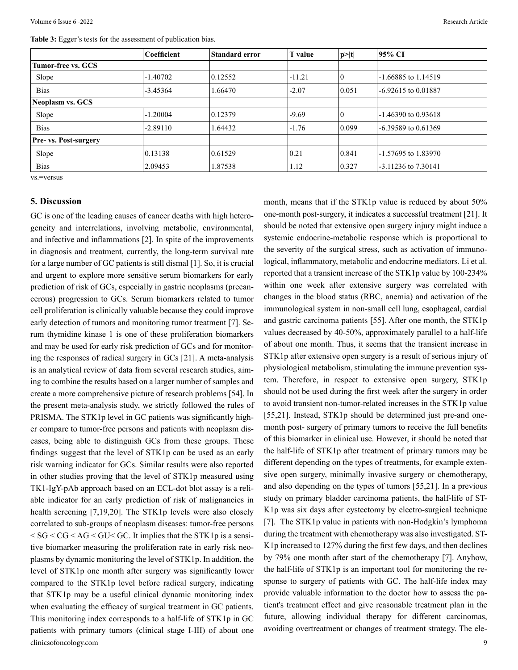**Table 3:** Egger's tests for the assessment of publication bias.

|                         | Coefficient | <b>Standard error</b> | <b>T</b> value | p >  t | 95% CI                  |
|-------------------------|-------------|-----------------------|----------------|--------|-------------------------|
| Tumor-free vs. GCS      |             |                       |                |        |                         |
| Slope                   | $-1.40702$  | 0.12552               | $-11.21$       |        | $-1.66885$ to 1.14519   |
| <b>Bias</b>             | $-3.45364$  | 1.66470               | $-2.07$        | 0.051  | $-6.92615$ to 0.01887   |
| <b>Neoplasm vs. GCS</b> |             |                       |                |        |                         |
| Slope                   | $-1.20004$  | 0.12379               | $-9.69$        |        | $-1.46390$ to 0.93618   |
| <b>Bias</b>             | $-2.89110$  | 1.64432               | $-1.76$        | 0.099  | $-6.39589$ to 0.61369   |
| Pre- vs. Post-surgery   |             |                       |                |        |                         |
| Slope                   | 0.13138     | 0.61529               | 0.21           | 0.841  | -1.57695 to 1.83970     |
| <b>Bias</b>             | 2.09453     | 1.87538               | 1.12           | 0.327  | $-3.11236$ to $7.30141$ |

vs.=versus

#### **5. Discussion**

clinicsofoncology.com 9 GC is one of the leading causes of cancer deaths with high heterogeneity and interrelations, involving metabolic, environmental, and infective and inflammations [2]. In spite of the improvements in diagnosis and treatment, currently, the long-term survival rate for a large number of GC patients is still dismal [1]. So, it is crucial and urgent to explore more sensitive serum biomarkers for early prediction of risk of GCs, especially in gastric neoplasms (precancerous) progression to GCs. Serum biomarkers related to tumor cell proliferation is clinically valuable because they could improve early detection of tumors and monitoring tumor treatment [7]. Serum thymidine kinase 1 is one of these proliferation biomarkers and may be used for early risk prediction of GCs and for monitoring the responses of radical surgery in GCs [21]. A meta-analysis is an analytical review of data from several research studies, aiming to combine the results based on a larger number of samples and create a more comprehensive picture of research problems [54]. In the present meta-analysis study, we strictly followed the rules of PRISMA. The STK1p level in GC patients was significantly higher compare to tumor-free persons and patients with neoplasm diseases, being able to distinguish GCs from these groups. These findings suggest that the level of STK1p can be used as an early risk warning indicator for GCs. Similar results were also reported in other studies proving that the level of STK1p measured using TK1-IgY-pAb approach based on an ECL-dot blot assay is a reliable indicator for an early prediction of risk of malignancies in health screening [7,19,20]. The STK1p levels were also closely correlated to sub-groups of neoplasm diseases: tumor-free persons  $<$  SG  $<$  CG  $<$  AG  $<$  GU $<$  GC. It implies that the STK1p is a sensitive biomarker measuring the proliferation rate in early risk neoplasms by dynamic monitoring the level of STK1p. In addition, the level of STK1p one month after surgery was significantly lower compared to the STK1p level before radical surgery, indicating that STK1p may be a useful clinical dynamic monitoring index when evaluating the efficacy of surgical treatment in GC patients. This monitoring index corresponds to a half-life of STK1p in GC patients with primary tumors (clinical stage I-III) of about one

month, means that if the STK1p value is reduced by about 50% one-month post-surgery, it indicates a successful treatment [21]. It should be noted that extensive open surgery injury might induce a systemic endocrine-metabolic response which is proportional to the severity of the surgical stress, such as activation of immunological, inflammatory, metabolic and endocrine mediators. Li et al. reported that a transient increase of the STK1p value by 100-234% within one week after extensive surgery was correlated with changes in the blood status (RBC, anemia) and activation of the immunological system in non-small cell lung, esophageal, cardial and gastric carcinoma patients [55]. After one month, the STK1p values decreased by 40-50%, approximately parallel to a half-life of about one month. Thus, it seems that the transient increase in STK1p after extensive open surgery is a result of serious injury of physiological metabolism, stimulating the immune prevention system. Therefore, in respect to extensive open surgery, STK1p should not be used during the first week after the surgery in order to avoid transient non-tumor-related increases in the STK1p value [55,21]. Instead, STK1p should be determined just pre-and onemonth post- surgery of primary tumors to receive the full benefits of this biomarker in clinical use. However, it should be noted that the half-life of STK1p after treatment of primary tumors may be different depending on the types of treatments, for example extensive open surgery, minimally invasive surgery or chemotherapy, and also depending on the types of tumors [55,21]. In a previous study on primary bladder carcinoma patients, the half-life of ST-K1p was six days after cystectomy by electro-surgical technique [7]. The STK1p value in patients with non-Hodgkin's lymphoma during the treatment with chemotherapy was also investigated. ST-K1p increased to 127% during the first few days, and then declines by 79% one month after start of the chemotherapy [7]. Anyhow, the half-life of STK1p is an important tool for monitoring the response to surgery of patients with GC. The half-life index may provide valuable information to the doctor how to assess the patient's treatment effect and give reasonable treatment plan in the future, allowing individual therapy for different carcinomas, avoiding overtreatment or changes of treatment strategy. The ele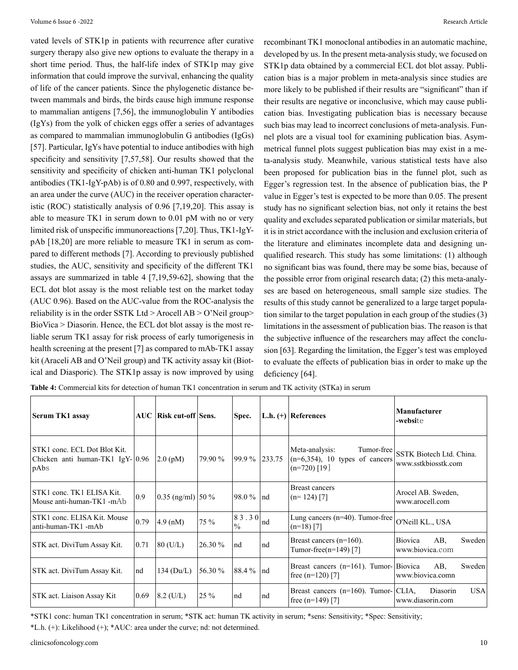vated levels of STK1p in patients with recurrence after curative surgery therapy also give new options to evaluate the therapy in a short time period. Thus, the half-life index of STK1p may give information that could improve the survival, enhancing the quality of life of the cancer patients. Since the phylogenetic distance between mammals and birds, the birds cause high immune response to mammalian antigens [7,56], the immunoglobulin Y antibodies (IgYs) from the yolk of chicken eggs offer a series of advantages as compared to mammalian immunoglobulin G antibodies (IgGs) [57]. Particular, IgYs have potential to induce antibodies with high specificity and sensitivity [7,57,58]. Our results showed that the sensitivity and specificity of chicken anti-human TK1 polyclonal antibodies (TK1-IgY-pAb) is of 0.80 and 0.997, respectively, with an area under the curve (AUC) in the receiver operation characteristic (ROC) statistically analysis of 0.96 [7,19,20]. This assay is able to measure TK1 in serum down to 0.01 pM with no or very limited risk of unspecific immunoreactions [7,20]. Thus, TK1-IgYpAb [18,20] are more reliable to measure TK1 in serum as compared to different methods [7]. According to previously published studies, the AUC, sensitivity and specificity of the different TK1 assays are summarized in table 4 [7,19,59-62], showing that the ECL dot blot assay is the most reliable test on the market today (AUC 0.96). Based on the AUC-value from the ROC-analysis the reliability is in the order SSTK Ltd > Arocell  $AB > O'$ Neil group> BioVica > Diasorin. Hence, the ECL dot blot assay is the most reliable serum TK1 assay for risk process of early tumorigenesis in health screening at the present [7] as compared to mAb-TK1 assay kit (Araceli AB and O'Neil group) and TK activity assay kit (Biotical and Diasporic). The STK1p assay is now improved by using

recombinant TK1 monoclonal antibodies in an automatic machine, developed by us. In the present meta-analysis study, we focused on STK1p data obtained by a commercial ECL dot blot assay. Publication bias is a major problem in meta-analysis since studies are more likely to be published if their results are "significant" than if their results are negative or inconclusive, which may cause publication bias. Investigating publication bias is necessary because such bias may lead to incorrect conclusions of meta-analysis. Funnel plots are a visual tool for examining publication bias. Asymmetrical funnel plots suggest publication bias may exist in a meta-analysis study. Meanwhile, various statistical tests have also been proposed for publication bias in the funnel plot, such as Egger's regression test. In the absence of publication bias, the P value in Egger's test is expected to be more than 0.05. The present study has no significant selection bias, not only it retains the best quality and excludes separated publication or similar materials, but it is in strict accordance with the inclusion and exclusion criteria of the literature and eliminates incomplete data and designing unqualified research. This study has some limitations: (1) although no significant bias was found, there may be some bias, because of the possible error from original research data; (2) this meta-analyses are based on heterogeneous, small sample size studies. The results of this study cannot be generalized to a large target population similar to the target population in each group of the studies (3) limitations in the assessment of publication bias. The reason is that the subjective influence of the researchers may affect the conclusion [63]. Regarding the limitation, the Egger's test was employed to evaluate the effects of publication bias in order to make up the deficiency [64].

| Serum TK1 assay                                                          |      | AUC   Risk cut-off   Sens. |         | Spec.                    |     | L.h. $(+)$ References                                                               | Manufacturer<br>-website                           |  |  |
|--------------------------------------------------------------------------|------|----------------------------|---------|--------------------------|-----|-------------------------------------------------------------------------------------|----------------------------------------------------|--|--|
| STK1 conc. ECL Dot Blot Kit.<br>Chicken anti human-TK1 IgY-10.96<br>pAbs |      | $2.0 \text{ (pM)}$         | 79.90 % | $ 99.9\% 233.75$         |     | Meta-analysis:<br>Tumor-free<br>$(n=6,354)$ , 10 types of cancers<br>$(n=720)$ [19] | SSTK Biotech Ltd. China.<br>www.sstkbiosstk.com    |  |  |
| STK1 conc. TK1 ELISA Kit.<br>Mouse anti-human-TK1 -mAb                   | 0.9  | $0.35$ (ng/ml) 50 %        |         | 98.0 %   nd              |     | <b>Breast cancers</b><br>$(n=124)$ [7]                                              | Arocel AB. Sweden,<br>www.arocell.com              |  |  |
| STK1 conc. ELISA Kit. Mouse<br>anti-human-TK1 -mAb                       | 0.79 | $(4.9 \text{ (nM)})$       | 75 %    | 83.30  <br>$\frac{0}{0}$ | Ind | Lung cancers $(n=40)$ . Tumor-free<br>$(n=18)$ [7]                                  | O'Neill KL., USA                                   |  |  |
| STK act. DiviTum Assay Kit.                                              | 0.71 | $80$ (U/L)                 | 26.30 % | nd                       | nd  | Breast cancers $(n=160)$ .<br>Tumor-free( $n=149$ ) [7]                             | AB.<br>Sweden<br><b>Biovica</b><br>www.biovica.com |  |  |
| STK act. DiviTum Assay Kit.                                              | nd   | 134 ( $Du/L$ )             | 56.30 % | $ 88.4\% $ nd            |     | Breast cancers $(n=161)$ . Tumor- Biovica<br>free $(n=120)$ [7]                     | AB.<br><b>Sweden</b><br>www.biovica.comn           |  |  |
| <b>STK</b> act. Liaison Assay Kit                                        | 0.69 | $8.2$ (U/L)                | 25 %    | nd                       | nd  | Breast cancers $(n=160)$ . Tumor- CLIA,<br>free $(n=149)$ [7]                       | <b>USA</b><br>Diasorin<br>www.diasorin.com         |  |  |

**Table 4:** Commercial kits for detection of human TK1 concentration in serum and TK activity (STKa) in serum

\*STK1 conc: human TK1 concentration in serum; \*STK act: human TK activity in serum; \*sens: Sensitivity; \*Spec: Sensitivity; \*L.h. (+): Likelihood (+); \*AUC: area under the curve; nd: not determined.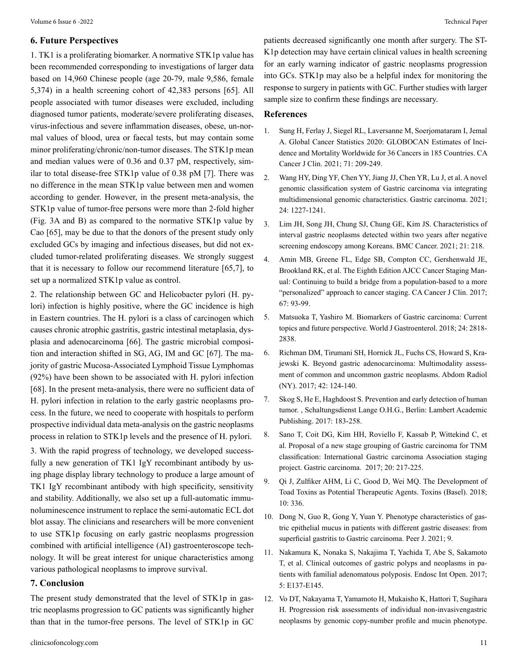#### **6. Future Perspectives**

1. TK1 is a proliferating biomarker. A normative STK1p value has been recommended corresponding to investigations of larger data based on 14,960 Chinese people (age 20-79, male 9,586, female 5,374) in a health screening cohort of 42,383 persons [65]. All people associated with tumor diseases were excluded, including diagnosed tumor patients, moderate/severe proliferating diseases, virus-infectious and severe inflammation diseases, obese, un-normal values of blood, urea or faecal tests, but may contain some minor proliferating/chronic/non-tumor diseases. The STK1p mean and median values were of 0.36 and 0.37 pM, respectively, similar to total disease-free STK1p value of 0.38 pM [7]. There was no difference in the mean STK1p value between men and women according to gender. However, in the present meta-analysis, the STK1p value of tumor-free persons were more than 2-fold higher (Fig. 3A and B) as compared to the normative STK1p value by Cao [65], may be due to that the donors of the present study only excluded GCs by imaging and infectious diseases, but did not excluded tumor-related proliferating diseases. We strongly suggest that it is necessary to follow our recommend literature [65,7], to set up a normalized STK1p value as control.

2. The relationship between GC and Helicobacter pylori (H. pylori) infection is highly positive, where the GC incidence is high in Eastern countries. The H. pylori is a class of carcinogen which causes chronic atrophic gastritis, gastric intestinal metaplasia, dysplasia and adenocarcinoma [66]. The gastric microbial composition and interaction shifted in SG, AG, IM and GC [67]. The majority of gastric Mucosa-Associated Lymphoid Tissue Lymphomas (92%) have been shown to be associated with H. pylori infection [68]. In the present meta-analysis, there were no sufficient data of H. pylori infection in relation to the early gastric neoplasms process. In the future, we need to cooperate with hospitals to perform prospective individual data meta-analysis on the gastric neoplasms process in relation to STK1p levels and the presence of H. pylori.

3. With the rapid progress of technology, we developed successfully a new generation of TK1 IgY recombinant antibody by using phage display library technology to produce a large amount of TK1 IgY recombinant antibody with high specificity, sensitivity and stability. Additionally, we also set up a full-automatic immunoluminescence instrument to replace the semi-automatic ECL dot blot assay. The clinicians and researchers will be more convenient to use STK1p focusing on early gastric neoplasms progression combined with artificial intelligence (AI) gastroenteroscope technology. It will be great interest for unique characteristics among various pathological neoplasms to improve survival.

#### **7. Conclusion**

The present study demonstrated that the level of STK1p in gastric neoplasms progression to GC patients was significantly higher than that in the tumor-free persons. The level of STK1p in GC patients decreased significantly one month after surgery. The ST-K1p detection may have certain clinical values in health screening for an early warning indicator of gastric neoplasms progression into GCs. STK1p may also be a helpful index for monitoring the response to surgery in patients with GC. Further studies with larger sample size to confirm these findings are necessary.

#### **References**

- 1. [Sung H, Ferlay J, Siegel RL, Laversanne M, Soerjomataram I, Jem](C:\Users\Canopus\AppData\Local\Temp\Rar$DIa4972.9868\[PMID: 33538338 DOI: 10.3322\caac.21660])al [A. Global Cancer Statistics 2020: GLOBOCAN Estimates of Inci](C:\Users\Canopus\AppData\Local\Temp\Rar$DIa4972.9868\[PMID: 33538338 DOI: 10.3322\caac.21660])[dence and Mortality Worldwide for 36 Cancers in 185 Countries. CA](C:\Users\Canopus\AppData\Local\Temp\Rar$DIa4972.9868\[PMID: 33538338 DOI: 10.3322\caac.21660]) [Cancer J Clin. 2021; 71: 209-249.](C:\Users\Canopus\AppData\Local\Temp\Rar$DIa4972.9868\[PMID: 33538338 DOI: 10.3322\caac.21660])
- 2. [Wang HY, Ding YF, Chen YY, Jiang JJ, Chen YR, Lu J, et al. A novel](C:\Users\Canopus\AppData\Local\Temp\Rar$DIa4972.9868\. [PMID: 34095982 DOI: 10.1007\s10120-021-01201-9) [genomic classification system of Gastric carcinoma via integrating](C:\Users\Canopus\AppData\Local\Temp\Rar$DIa4972.9868\. [PMID: 34095982 DOI: 10.1007\s10120-021-01201-9) [multidimensional genomic characteristics. Gastric carcinoma. 2021;](C:\Users\Canopus\AppData\Local\Temp\Rar$DIa4972.9868\. [PMID: 34095982 DOI: 10.1007\s10120-021-01201-9) [24: 1227-1241.](C:\Users\Canopus\AppData\Local\Temp\Rar$DIa4972.9868\. [PMID: 34095982 DOI: 10.1007\s10120-021-01201-9)
- 3. [Lim JH, Song JH, Chung SJ, Chung GE, Kim JS. Characteristics of](C:\Users\Canopus\AppData\Local\Temp\Rar$DIa4972.9868\. [PMID: 33653298 DOI: 10.1186\s12885-021-07929-y])  [interval gastric neoplasms detected within two years after negative](C:\Users\Canopus\AppData\Local\Temp\Rar$DIa4972.9868\. [PMID: 33653298 DOI: 10.1186\s12885-021-07929-y]) [screening endoscopy among Koreans. BMC Cancer. 2021; 21: 218.](C:\Users\Canopus\AppData\Local\Temp\Rar$DIa4972.9868\. [PMID: 33653298 DOI: 10.1186\s12885-021-07929-y])
- 4. [Amin MB, Greene FL, Edge SB, Compton CC, Gershenwald JE,](C:\Users\Canopus\AppData\Local\Temp\Rar$DIa4972.9868\. [PMID: 28094848 DOI: 10.3322\caac.21388])  [Brookland RK, et al. The Eighth Edition AJCC Cancer Staging Man](C:\Users\Canopus\AppData\Local\Temp\Rar$DIa4972.9868\. [PMID: 28094848 DOI: 10.3322\caac.21388])[ual: Continuing to build a bridge from a population-based to a more](C:\Users\Canopus\AppData\Local\Temp\Rar$DIa4972.9868\. [PMID: 28094848 DOI: 10.3322\caac.21388]) ["personalized" approach to cancer staging. CA Cancer J Clin. 2017;](C:\Users\Canopus\AppData\Local\Temp\Rar$DIa4972.9868\. [PMID: 28094848 DOI: 10.3322\caac.21388]) [67: 93-99.](C:\Users\Canopus\AppData\Local\Temp\Rar$DIa4972.9868\. [PMID: 28094848 DOI: 10.3322\caac.21388])
- 5. [Matsuoka T, Yashiro M. Biomarkers of Gastric carcinoma: Current](C:\Users\Canopus\AppData\Local\Temp\Rar$DIa4972.9868\[PMID:30018477 DOI: 10.3748\wjg.v24.i26.2818]) [topics and future perspective. World J Gastroenterol. 2018; 24: 2818-](C:\Users\Canopus\AppData\Local\Temp\Rar$DIa4972.9868\[PMID:30018477 DOI: 10.3748\wjg.v24.i26.2818]) [2838.](C:\Users\Canopus\AppData\Local\Temp\Rar$DIa4972.9868\[PMID:30018477 DOI: 10.3748\wjg.v24.i26.2818])
- 6. [Richman DM, Tirumani SH, Hornick JL, Fuchs CS, Howard S, Kra](C:\Users\Canopus\AppData\Local\Temp\Rar$DIa4972.9868\[PMID: 27645897 DOI: 10.1007\s00261-016-0901-x])[jewski K. Beyond gastric adenocarcinoma: Multimodality assess](C:\Users\Canopus\AppData\Local\Temp\Rar$DIa4972.9868\[PMID: 27645897 DOI: 10.1007\s00261-016-0901-x])[ment of common and uncommon gastric neoplasms. Abdom Radiol](C:\Users\Canopus\AppData\Local\Temp\Rar$DIa4972.9868\[PMID: 27645897 DOI: 10.1007\s00261-016-0901-x]) [\(NY\). 2017; 42: 124-140.](C:\Users\Canopus\AppData\Local\Temp\Rar$DIa4972.9868\[PMID: 27645897 DOI: 10.1007\s00261-016-0901-x])
- 7. [Skog S, He E, Haghdoost S. Prevention and early detection of human](https://www.ncbi.nlm.nih.gov/pmc/articles/PMC8256325/) [tumor. , Schaltungsdienst Lange O.H.G., Berlin: Lambert Academic](https://www.ncbi.nlm.nih.gov/pmc/articles/PMC8256325/) [Publishing. 2017: 183-258.](https://www.ncbi.nlm.nih.gov/pmc/articles/PMC8256325/)
- 8. [Sano T, Coit DG, Kim HH, Roviello F, Kassab P, Wittekind C, et](C:\Users\Canopus\AppData\Local\Temp\Rar$DIa4972.9868\[PMID: 26897166 DOI: 10.1007\s10120-016-0601-9]) [al. Proposal of a new stage grouping of Gastric carcinoma for TNM](C:\Users\Canopus\AppData\Local\Temp\Rar$DIa4972.9868\[PMID: 26897166 DOI: 10.1007\s10120-016-0601-9])  [classification: International Gastric carcinoma Association staging](C:\Users\Canopus\AppData\Local\Temp\Rar$DIa4972.9868\[PMID: 26897166 DOI: 10.1007\s10120-016-0601-9]) [project. Gastric carcinoma. 2017; 20: 217-225.](C:\Users\Canopus\AppData\Local\Temp\Rar$DIa4972.9868\[PMID: 26897166 DOI: 10.1007\s10120-016-0601-9])
- 9. [Qi J, Zulfiker AHM, Li C, Good D, Wei MQ. The Development of](C:\Users\Canopus\AppData\Local\Temp\Rar$DIa4972.9868\[ PMID: 30127299 DOI: 10.3390\toxins10080336])  [Toad Toxins as Potential Therapeutic Agents. Toxins \(Basel\). 2018;](C:\Users\Canopus\AppData\Local\Temp\Rar$DIa4972.9868\[ PMID: 30127299 DOI: 10.3390\toxins10080336]) [10: 336.](C:\Users\Canopus\AppData\Local\Temp\Rar$DIa4972.9868\[ PMID: 30127299 DOI: 10.3390\toxins10080336])
- 10. [Dong N, Guo R, Gong Y, Yuan Y. Phenotype characteristics of gas](C:\Users\Canopus\AppData\Local\Temp\Rar$DIa4972.9868\e10822 [PMID: 33665018 DOI: 10.7717\peerj.10822])[tric epithelial mucus in patients with different gastric diseases: from](C:\Users\Canopus\AppData\Local\Temp\Rar$DIa4972.9868\e10822 [PMID: 33665018 DOI: 10.7717\peerj.10822]) [superficial gastritis to Gastric carcinoma. Peer J. 2021; 9.](C:\Users\Canopus\AppData\Local\Temp\Rar$DIa4972.9868\e10822 [PMID: 33665018 DOI: 10.7717\peerj.10822])
- 11. [Nakamura K, Nonaka S, Nakajima T, Yachida T, Abe S, Sakamoto](C:\Users\Canopus\AppData\Local\Temp\Rar$DIa4972.9868\[PMID: 28271094  DOI: 10.1055\s-0042-119809]) [T, et al. Clinical outcomes of gastric polyps and neoplasms in pa](C:\Users\Canopus\AppData\Local\Temp\Rar$DIa4972.9868\[PMID: 28271094  DOI: 10.1055\s-0042-119809])[tients with familial adenomatous polyposis. Endosc Int Open. 2017;](C:\Users\Canopus\AppData\Local\Temp\Rar$DIa4972.9868\[PMID: 28271094  DOI: 10.1055\s-0042-119809]) [5: E137-E145.](C:\Users\Canopus\AppData\Local\Temp\Rar$DIa4972.9868\[PMID: 28271094  DOI: 10.1055\s-0042-119809])
- 12. [Vo DT, Nakayama T, Yamamoto H, Mukaisho K, Hattori T, Sugihara](C:\Users\Canopus\AppData\Local\Temp\Rar$DIa4972.9868\[PMID: 25881098 DOI: 10.1186\s12920-015-0080-6]) [H. Progression risk assessments of individual non-invasivengastric](C:\Users\Canopus\AppData\Local\Temp\Rar$DIa4972.9868\[PMID: 25881098 DOI: 10.1186\s12920-015-0080-6]) [neoplasms by genomic copy-number profile and mucin phenotype.](C:\Users\Canopus\AppData\Local\Temp\Rar$DIa4972.9868\[PMID: 25881098 DOI: 10.1186\s12920-015-0080-6])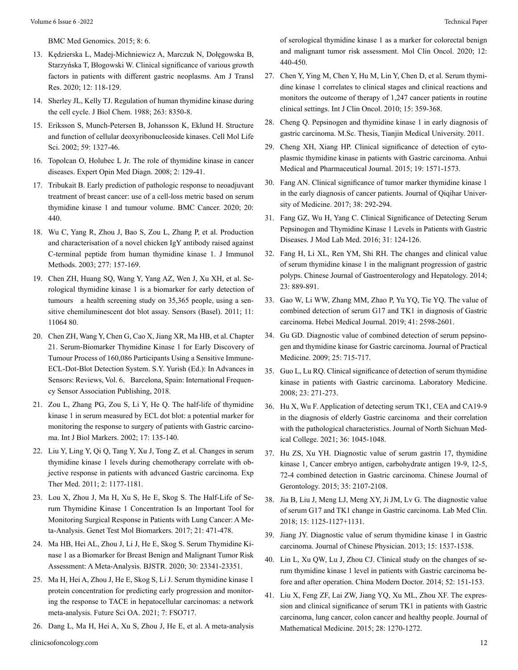[BMC Med Genomics. 2015; 8: 6.](C:\Users\Canopus\AppData\Local\Temp\Rar$DIa4972.9868\[PMID: 25881098 DOI: 10.1186\s12920-015-0080-6])

- 13. [Kędzierska L, Madej-Michniewicz A, Marczuk N, Dołęgowska B,](C:\Users\Canopus\AppData\Local\Temp\Rar$DIa4972.9868\eCollection 2020 [PMID: 32051741]) [Starzyńska T, Błogowski W. Clinical significance of various growth](C:\Users\Canopus\AppData\Local\Temp\Rar$DIa4972.9868\eCollection 2020 [PMID: 32051741]) [factors in patients with different gastric neoplasms. Am J Transl](C:\Users\Canopus\AppData\Local\Temp\Rar$DIa4972.9868\eCollection 2020 [PMID: 32051741]) [Res. 2020; 12: 118-129.](C:\Users\Canopus\AppData\Local\Temp\Rar$DIa4972.9868\eCollection 2020 [PMID: 32051741])
- 14. [Sherley JL, Kelly TJ. Regulation of human thymidine kinase during](C:\Users\Canopus\AppData\Local\Temp\Rar$DIa4972.9868\[PMID: 3372530]) [the cell cycle. J Biol Chem. 1988; 263: 8350-8.](C:\Users\Canopus\AppData\Local\Temp\Rar$DIa4972.9868\[PMID: 3372530])
- 15. [Eriksson S, Munch-Petersen B, Johansson K, Eklund H. Structure](C:\Users\Canopus\AppData\Local\Temp\Rar$DIa4972.9868\[PMID: 12363036 DOI: 10.1007\s00018-002-8511-x]) [and function of cellular deoxyribonucleoside kinases. Cell Mol Life](C:\Users\Canopus\AppData\Local\Temp\Rar$DIa4972.9868\[PMID: 12363036 DOI: 10.1007\s00018-002-8511-x]) [Sci. 2002; 59: 1327-46.](C:\Users\Canopus\AppData\Local\Temp\Rar$DIa4972.9868\[PMID: 12363036 DOI: 10.1007\s00018-002-8511-x])
- 16. [Topolcan O, Holubec L Jr. The role of thymidine kinase in cancer](C:\Users\Canopus\AppData\Local\Temp\Rar$DIa4972.9868\[PMID: 23485133 DOI: 10.1517\17530059.2.2.129]) [diseases. Expert Opin Med Diagn. 2008; 2: 129-41.](C:\Users\Canopus\AppData\Local\Temp\Rar$DIa4972.9868\[PMID: 23485133 DOI: 10.1517\17530059.2.2.129])
- 17. [Tribukait B. Early prediction of pathologic response to neoadjuvant](C:\Users\Canopus\AppData\Local\Temp\Rar$DIa4972.9868\[PMID:32423477 DOI:10.1186\s12885-020-06925-y]) [treatment of breast cancer: use of a cell-loss metric based on serum](C:\Users\Canopus\AppData\Local\Temp\Rar$DIa4972.9868\[PMID:32423477 DOI:10.1186\s12885-020-06925-y]) [thymidine kinase 1 and tumour volume. BMC Cancer. 2020; 20:](C:\Users\Canopus\AppData\Local\Temp\Rar$DIa4972.9868\[PMID:32423477 DOI:10.1186\s12885-020-06925-y]) [440.](C:\Users\Canopus\AppData\Local\Temp\Rar$DIa4972.9868\[PMID:32423477 DOI:10.1186\s12885-020-06925-y])
- 18. [Wu C, Yang R, Zhou J, Bao S, Zou L, Zhang P, et al. Production](C:\Users\Canopus\AppData\Local\Temp\Rar$DIa4972.9868\[PMID: 12799048 DOI: 10.1016\s0022-1759(03)00062-0]) [and characterisation of a novel chicken IgY antibody raised against](C:\Users\Canopus\AppData\Local\Temp\Rar$DIa4972.9868\[PMID: 12799048 DOI: 10.1016\s0022-1759(03)00062-0]) [C-terminal peptide from human thymidine kinase 1. J Immunol](C:\Users\Canopus\AppData\Local\Temp\Rar$DIa4972.9868\[PMID: 12799048 DOI: 10.1016\s0022-1759(03)00062-0]) [Methods. 2003; 277: 157-169.](C:\Users\Canopus\AppData\Local\Temp\Rar$DIa4972.9868\[PMID: 12799048 DOI: 10.1016\s0022-1759(03)00062-0])
- 19. [Chen ZH, Huang SQ, Wang Y, Yang AZ, Wen J, Xu XH, et al. Se](C:\Users\Canopus\AppData\Local\Temp\Rar$DIa4972.9868\[PMID: 22247653 DOI: 10.3390\s111211064])[rological thymidine kinase 1 is a biomarker for early detection of](C:\Users\Canopus\AppData\Local\Temp\Rar$DIa4972.9868\[PMID: 22247653 DOI: 10.3390\s111211064]) [tumours a health screening study on 35,365 people, using a sen](C:\Users\Canopus\AppData\Local\Temp\Rar$DIa4972.9868\[PMID: 22247653 DOI: 10.3390\s111211064])[sitive chemiluminescent dot blot assay. Sensors \(Basel\). 2011; 11:](C:\Users\Canopus\AppData\Local\Temp\Rar$DIa4972.9868\[PMID: 22247653 DOI: 10.3390\s111211064]) [11064 80.](C:\Users\Canopus\AppData\Local\Temp\Rar$DIa4972.9868\[PMID: 22247653 DOI: 10.3390\s111211064])
- 20. [Chen ZH, Wang Y, Chen G, Cao X, Jiang XR, Ma HB, et al. Chapter](http://www.sensorsportal.com.) [21. Serum-Biomarker Thymidine Kinase 1 for Early Discovery of](http://www.sensorsportal.com.) [Tumour Process of 160,086 Participants Using a Sensitive Immune-](http://www.sensorsportal.com.)[ECL-Dot-Blot Detection System. S.Y. Yurish \(Ed.\): In Advances in](http://www.sensorsportal.com.) Sensors: Reviews, Vol. 6, [Barcelona, Spain: International Frequen](http://www.sensorsportal.com.)[cy Sensor Association Publishing, 2018.](http://www.sensorsportal.com.)
- 21. [Zou L, Zhang PG, Zou S, Li Y, He Q. The half-life of thymidine](C:\Users\Canopus\AppData\Local\Temp\Rar$DIa4972.9868\[PMID: 12113581 DOI: 10.5301\jbm.2008.1382]) [kinase 1 in serum measured by ECL dot blot: a potential marker for](C:\Users\Canopus\AppData\Local\Temp\Rar$DIa4972.9868\[PMID: 12113581 DOI: 10.5301\jbm.2008.1382]) [monitoring the response to surgery of patients with Gastric carcino](C:\Users\Canopus\AppData\Local\Temp\Rar$DIa4972.9868\[PMID: 12113581 DOI: 10.5301\jbm.2008.1382])[ma. Int J Biol Markers. 2002; 17: 135-140.](C:\Users\Canopus\AppData\Local\Temp\Rar$DIa4972.9868\[PMID: 12113581 DOI: 10.5301\jbm.2008.1382])
- 22. [Liu Y, Ling Y, Qi Q, Tang Y, Xu J, Tong Z, et al. Changes in serum](C:\Users\Canopus\AppData\Local\Temp\Rar$DIa4972.9868\[PMID: 22977640 DOI: 10.3892\etm.2011.338]) [thymidine kinase 1 levels during chemotherapy correlate with ob](C:\Users\Canopus\AppData\Local\Temp\Rar$DIa4972.9868\[PMID: 22977640 DOI: 10.3892\etm.2011.338])[jective response in patients with advanced Gastric carcinoma. Exp](C:\Users\Canopus\AppData\Local\Temp\Rar$DIa4972.9868\[PMID: 22977640 DOI: 10.3892\etm.2011.338]) [Ther Med. 2011; 2: 1177-1181.](C:\Users\Canopus\AppData\Local\Temp\Rar$DIa4972.9868\[PMID: 22977640 DOI: 10.3892\etm.2011.338])
- 23. [Lou X, Zhou J, Ma H, Xu S, He E, Skog S. The Half-Life of Se](C:\Users\Canopus\AppData\Local\Temp\Rar$DIa4972.9868\[PMID: 28817340 DOI: 10.1089\gtmb.2017.0003])[rum Thymidine Kinase 1 Concentration Is an Important Tool for](C:\Users\Canopus\AppData\Local\Temp\Rar$DIa4972.9868\[PMID: 28817340 DOI: 10.1089\gtmb.2017.0003]) [Monitoring Surgical Response in Patients with Lung Cancer: A Me](C:\Users\Canopus\AppData\Local\Temp\Rar$DIa4972.9868\[PMID: 28817340 DOI: 10.1089\gtmb.2017.0003])[ta-Analysis. Genet Test Mol Biomarkers. 2017; 21: 471-478.](C:\Users\Canopus\AppData\Local\Temp\Rar$DIa4972.9868\[PMID: 28817340 DOI: 10.1089\gtmb.2017.0003])
- 24. [Ma HB, Hei AL, Zhou J, Li J, He E, Skog S. Serum Thymidine Ki](C:\Users\Canopus\AppData\Local\Temp\Rar$DIa4972.9868\[DOI: 10.26717\BJSTR.2020.30.004943])[nase 1 as a Biomarker for Breast Benign and Malignant Tumor Risk](C:\Users\Canopus\AppData\Local\Temp\Rar$DIa4972.9868\[DOI: 10.26717\BJSTR.2020.30.004943]) [Assessment: A Meta-Analysis. BJSTR. 2020; 30: 23341-23351.](C:\Users\Canopus\AppData\Local\Temp\Rar$DIa4972.9868\[DOI: 10.26717\BJSTR.2020.30.004943])
- 25. [Ma H, Hei A, Zhou J, He E, Skog S, Li J. Serum thymidine kinase 1](C:\Users\Canopus\AppData\Local\Temp\Rar$DIa4972.9868\[PMID: 34258026 DOI: 10.2144\fsoa-2021-0016])  [protein concentration for predicting early progression and monitor](C:\Users\Canopus\AppData\Local\Temp\Rar$DIa4972.9868\[PMID: 34258026 DOI: 10.2144\fsoa-2021-0016])[ing the response to TACE in hepatocellular carcinomas: a network](C:\Users\Canopus\AppData\Local\Temp\Rar$DIa4972.9868\[PMID: 34258026 DOI: 10.2144\fsoa-2021-0016]) [meta-analysis. Future Sci OA. 2021; 7: FSO717.](C:\Users\Canopus\AppData\Local\Temp\Rar$DIa4972.9868\[PMID: 34258026 DOI: 10.2144\fsoa-2021-0016])
- 26. [Dang L, Ma H, Hei A, Xu S, Zhou J, He E, et al. A meta-analysis](C:\Users\Canopus\AppData\Local\Temp\Rar$DIa4972.9868\[PMID: 32257201 DOI: 10.3892\mco.2020.2002])

[of serological thymidine kinase 1 as a marker for colorectal benign](C:\Users\Canopus\AppData\Local\Temp\Rar$DIa4972.9868\[PMID: 32257201 DOI: 10.3892\mco.2020.2002]) [and malignant tumor risk assessment. Mol Clin Oncol. 2020; 12:](C:\Users\Canopus\AppData\Local\Temp\Rar$DIa4972.9868\[PMID: 32257201 DOI: 10.3892\mco.2020.2002]) [440-450.](C:\Users\Canopus\AppData\Local\Temp\Rar$DIa4972.9868\[PMID: 32257201 DOI: 10.3892\mco.2020.2002])

- 27. [Chen Y, Ying M, Chen Y, Hu M, Lin Y, Chen D, et al. Serum thymi](C:\Users\Canopus\AppData\Local\Temp\Rar$DIa4972.9868\[PMID: 20354751 DOI: 10.1007\s10147-010-0067-4])[dine kinase 1 correlates to clinical stages and clinical reactions and](C:\Users\Canopus\AppData\Local\Temp\Rar$DIa4972.9868\[PMID: 20354751 DOI: 10.1007\s10147-010-0067-4]) [monitors the outcome of therapy of 1,247 cancer patients in routine](C:\Users\Canopus\AppData\Local\Temp\Rar$DIa4972.9868\[PMID: 20354751 DOI: 10.1007\s10147-010-0067-4]) [clinical settings. Int J Clin Oncol. 2010; 15: 359-368.](C:\Users\Canopus\AppData\Local\Temp\Rar$DIa4972.9868\[PMID: 20354751 DOI: 10.1007\s10147-010-0067-4])
- 28. [Cheng Q. Pepsinogen and thymidine kinase 1 in early diagnosis of](C:\Users\Canopus\AppData\Local\Temp\Rar$DIa4972.9868\Available from: https:\d.wanfangdata.com.cn\thesis\Y2001491)  [gastric carcinoma. M.Sc. Thesis, Tianjin Medical University. 2011.](C:\Users\Canopus\AppData\Local\Temp\Rar$DIa4972.9868\Available from: https:\d.wanfangdata.com.cn\thesis\Y2001491)
- 29. [Cheng XH, Xiang HP. Clinical significance of detection of cyto](C:\Users\Canopus\AppData\Local\Temp\Rar$DIa4972.9868\[DOI: 10.3969\j.issn.1009-6469.2015.08.048])[plasmic thymidine kinase in patients with Gastric carcinoma. Anhui](C:\Users\Canopus\AppData\Local\Temp\Rar$DIa4972.9868\[DOI: 10.3969\j.issn.1009-6469.2015.08.048]) [Medical and Pharmaceutical Journal. 2015; 19: 1571-1573.](C:\Users\Canopus\AppData\Local\Temp\Rar$DIa4972.9868\[DOI: 10.3969\j.issn.1009-6469.2015.08.048])
- 30. [Fang AN. Clinical significance of tumor marker thymidine kinase 1](C:\Users\Canopus\AppData\Local\Temp\Rar$DIa4972.9868\[DOI: 10.3969\j.issn.1002-1256.2017.03.019]) [in the early diagnosis of cancer patients. Journal of Qiqihar Univer](C:\Users\Canopus\AppData\Local\Temp\Rar$DIa4972.9868\[DOI: 10.3969\j.issn.1002-1256.2017.03.019])[sity of Medicine. 2017; 38: 292-294.](C:\Users\Canopus\AppData\Local\Temp\Rar$DIa4972.9868\[DOI: 10.3969\j.issn.1002-1256.2017.03.019])
- 31. [Fang GZ, Wu H, Yang C. Clinical Significance of Detecting Serum](C:\Users\Canopus\AppData\Local\Temp\Rar$DIa4972.9868\[DOI: 10.3969\j.issn.1671-7414.2016.02.037])  [Pepsinogen and Thymidine Kinase 1 Levels in Patients with Gastric](C:\Users\Canopus\AppData\Local\Temp\Rar$DIa4972.9868\[DOI: 10.3969\j.issn.1671-7414.2016.02.037]) [Diseases. J Mod Lab Med. 2016; 31: 124-126.](C:\Users\Canopus\AppData\Local\Temp\Rar$DIa4972.9868\[DOI: 10.3969\j.issn.1671-7414.2016.02.037])
- 32. [Fang H, Li XL, Ren YM, Shi RH. The changes and clinical value](C:\Users\Canopus\AppData\Local\Temp\Rar$DIa4972.9868\[DOI: 10.3969\j.issn. 1006-5709.2014.08.012]) [of serum thymidine kinase 1 in the malignant progression of gastric](C:\Users\Canopus\AppData\Local\Temp\Rar$DIa4972.9868\[DOI: 10.3969\j.issn. 1006-5709.2014.08.012]) [polyps. Chinese Journal of Gastroenterology and Hepatology. 2014;](C:\Users\Canopus\AppData\Local\Temp\Rar$DIa4972.9868\[DOI: 10.3969\j.issn. 1006-5709.2014.08.012]) [23: 889-891.](C:\Users\Canopus\AppData\Local\Temp\Rar$DIa4972.9868\[DOI: 10.3969\j.issn. 1006-5709.2014.08.012])
- 33. [Gao W, Li WW, Zhang MM, Zhao P, Yu YQ, Tie YQ. The value of](C:\Users\Canopus\AppData\Local\Temp\Rar$DIa4972.9868\[DOI: 10.3969\j.issn.1002-7386.2019.17.008]) [combined detection of serum G17 and TK1 in diagnosis of Gastric](C:\Users\Canopus\AppData\Local\Temp\Rar$DIa4972.9868\[DOI: 10.3969\j.issn.1002-7386.2019.17.008]) [carcinoma. Hebei Medical Journal. 2019; 41: 2598-2601.](C:\Users\Canopus\AppData\Local\Temp\Rar$DIa4972.9868\[DOI: 10.3969\j.issn.1002-7386.2019.17.008])
- 34. [Gu GD. Diagnostic value of combined detection of serum pepsino](C:\Users\Canopus\AppData\Local\Temp\Rar$DIa4972.9868\[DOI: 10.3969\j.issn.1006-5725.2009.05.017])[gen and thymidine kinase for Gastric carcinoma. Journal of Practical](C:\Users\Canopus\AppData\Local\Temp\Rar$DIa4972.9868\[DOI: 10.3969\j.issn.1006-5725.2009.05.017]) [Medicine. 2009; 25: 715-717.](C:\Users\Canopus\AppData\Local\Temp\Rar$DIa4972.9868\[DOI: 10.3969\j.issn.1006-5725.2009.05.017])
- 35. [Guo L, Lu RQ. Clinical significance of detection of serum thymidine](C:\Users\Canopus\AppData\Local\Temp\Rar$DIa4972.9868\[DOI: 10.3969\j.issn.1673-8640.2008.03.020]) [kinase in patients with Gastric carcinoma. Laboratory Medicine.](C:\Users\Canopus\AppData\Local\Temp\Rar$DIa4972.9868\[DOI: 10.3969\j.issn.1673-8640.2008.03.020]) [2008; 23: 271-273.](C:\Users\Canopus\AppData\Local\Temp\Rar$DIa4972.9868\[DOI: 10.3969\j.issn.1673-8640.2008.03.020])
- 36. [Hu X, Wu F. Application of detecting serum TK1, CEA and CA19-9](C:\Users\Canopus\AppData\Local\Temp\Rar$DIa4972.9868\[DOI: 10.3969\j.issn.1005-3697.2021.08.023])  [in the diagnosis of elderly Gastric carcinoma and their correlation](C:\Users\Canopus\AppData\Local\Temp\Rar$DIa4972.9868\[DOI: 10.3969\j.issn.1005-3697.2021.08.023]) [with the pathological characteristics. Journal of North Sichuan Med](C:\Users\Canopus\AppData\Local\Temp\Rar$DIa4972.9868\[DOI: 10.3969\j.issn.1005-3697.2021.08.023])[ical College. 2021; 36: 1045-1048.](C:\Users\Canopus\AppData\Local\Temp\Rar$DIa4972.9868\[DOI: 10.3969\j.issn.1005-3697.2021.08.023])
- 37. [Hu ZS, Xu YH. Diagnostic value of serum gastrin 17, thymidine](C:\Users\Canopus\AppData\Local\Temp\Rar$DIa4972.9868\[DOI: 10.3969\j.issn.1005-9202.2015.08.047]) [kinase 1, Cancer embryo antigen, carbohydrate antigen 19-9, 12-5,](C:\Users\Canopus\AppData\Local\Temp\Rar$DIa4972.9868\[DOI: 10.3969\j.issn.1005-9202.2015.08.047]) [72-4 combined detection in Gastric carcinoma. Chinese Journal of](C:\Users\Canopus\AppData\Local\Temp\Rar$DIa4972.9868\[DOI: 10.3969\j.issn.1005-9202.2015.08.047]) [Gerontology. 2015; 35: 2107-2108.](C:\Users\Canopus\AppData\Local\Temp\Rar$DIa4972.9868\[DOI: 10.3969\j.issn.1005-9202.2015.08.047])
- 38. [Jia B, Liu J, Meng LJ, Meng XY, Ji JM, Lv G. The diagnostic value](C:\Users\Canopus\AppData\Local\Temp\Rar$DIa4972.9868\[DOI: 10.3969\j.issn.1672-9455.2018.08.022]) [of serum G17 and TK1 change in Gastric carcinoma. Lab Med Clin.](C:\Users\Canopus\AppData\Local\Temp\Rar$DIa4972.9868\[DOI: 10.3969\j.issn.1672-9455.2018.08.022]) [2018; 15: 1125-1127+1131.](C:\Users\Canopus\AppData\Local\Temp\Rar$DIa4972.9868\[DOI: 10.3969\j.issn.1672-9455.2018.08.022])
- 39. [Jiang JY. Diagnostic value of serum thymidine kinase 1 in Gastric](C:\Users\Canopus\AppData\Local\Temp\Rar$DIa4972.9868\[DOI: 10.3760\cma.j.issn.1008-1372.2013.11.028]) [carcinoma. Journal of Chinese Physician. 2013; 15: 1537-1538.](C:\Users\Canopus\AppData\Local\Temp\Rar$DIa4972.9868\[DOI: 10.3760\cma.j.issn.1008-1372.2013.11.028])
- 40. [Lin L, Xu QW, Lu J, Zhou CJ. Clinical study on the changes of se](C:\Users\Canopus\AppData\Local\Temp\Rar$DIa4972.9868\[DOI: CNKI:SUN:ZDYS. 0.2014-27-057])[rum thymidine kinase 1 level in patients with Gastric carcinoma be](C:\Users\Canopus\AppData\Local\Temp\Rar$DIa4972.9868\[DOI: CNKI:SUN:ZDYS. 0.2014-27-057])[fore and after operation. China Modern Doctor. 2014; 52: 151-153.](C:\Users\Canopus\AppData\Local\Temp\Rar$DIa4972.9868\[DOI: CNKI:SUN:ZDYS. 0.2014-27-057])
- 41. [Liu X, Feng ZF, Lai ZW, Jiang YQ, Xu ML, Zhou XF. The expres](C:\Users\Canopus\AppData\Local\Temp\Rar$DIa4972.9868\[DOI: 10.3969\j.issn.1004-4337.2015.09.003])[sion and clinical significance of serum TK1 in patients with Gastric](C:\Users\Canopus\AppData\Local\Temp\Rar$DIa4972.9868\[DOI: 10.3969\j.issn.1004-4337.2015.09.003]) [carcinoma, lung cancer, colon cancer and healthy people. Journal of](C:\Users\Canopus\AppData\Local\Temp\Rar$DIa4972.9868\[DOI: 10.3969\j.issn.1004-4337.2015.09.003]) [Mathematical Medicine. 2015; 28: 1270-1272.](C:\Users\Canopus\AppData\Local\Temp\Rar$DIa4972.9868\[DOI: 10.3969\j.issn.1004-4337.2015.09.003])